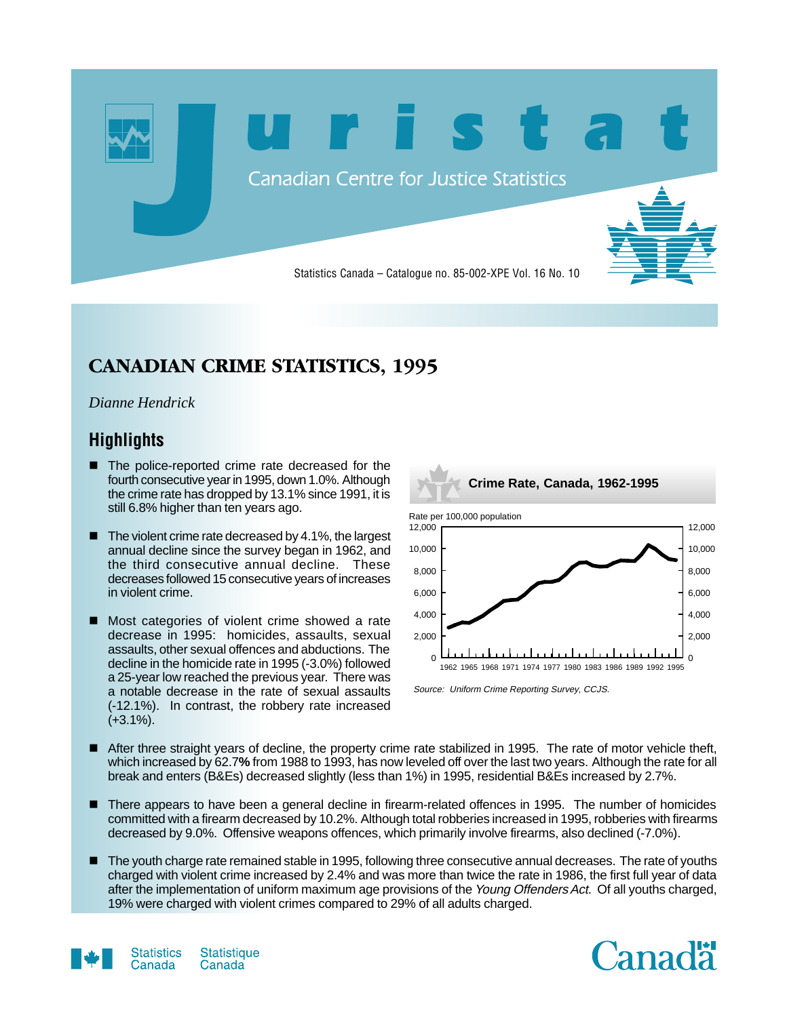

## **CANADIAN CRIME STATISTICS, 1995**

### *Dianne Hendrick*

## **Highlights**

- $\blacksquare$  The police-reported crime rate decreased for the fourth consecutive year in 1995, down 1.0%. Although the crime rate has dropped by 13.1% since 1991, it is still 6.8% higher than ten years ago.
- $\blacksquare$  The violent crime rate decreased by 4.1%, the largest annual decline since the survey began in 1962, and the third consecutive annual decline. These decreases followed 15 consecutive years of increases in violent crime.
- Most categories of violent crime showed a rate decrease in 1995: homicides, assaults, sexual assaults, other sexual offences and abductions. The decline in the homicide rate in 1995 (-3.0%) followed a 25-year low reached the previous year. There was a notable decrease in the rate of sexual assaults (-12.1%). In contrast, the robbery rate increased  $(+3.1\%).$



- After three straight years of decline, the property crime rate stabilized in 1995. The rate of motor vehicle theft, which increased by 62.7**%** from 1988 to 1993, has now leveled off over the last two years. Although the rate for all break and enters (B&Es) decreased slightly (less than 1%) in 1995, residential B&Es increased by 2.7%.
- There appears to have been a general decline in firearm-related offences in 1995. The number of homicides committed with a firearm decreased by 10.2%. Although total robberies increased in 1995, robberies with firearms decreased by 9.0%. Offensive weapons offences, which primarily involve firearms, also declined (-7.0%).
- $\blacksquare$  The youth charge rate remained stable in 1995, following three consecutive annual decreases. The rate of youths charged with violent crime increased by 2.4% and was more than twice the rate in 1986, the first full year of data after the implementation of uniform maximum age provisions of the Young Offenders Act. Of all youths charged, 19% were charged with violent crimes compared to 29% of all adults charged.



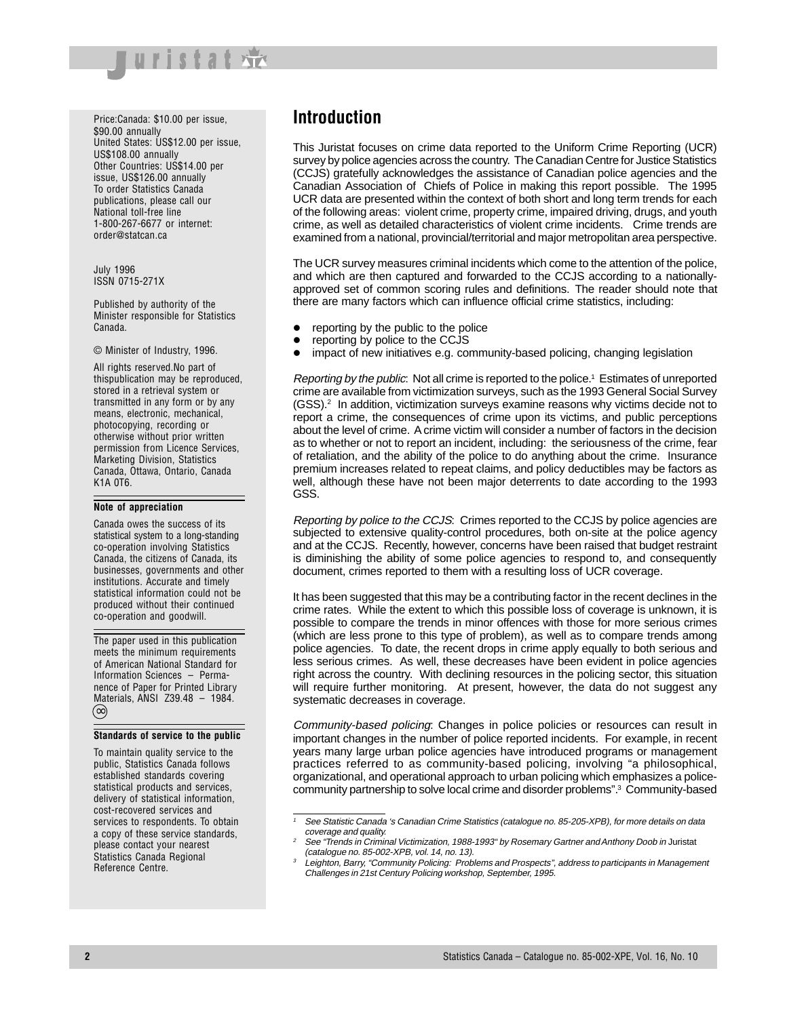

Price:Canada: \$10.00 per issue, \$90.00 annually United States: US\$12.00 per issue, US\$108.00 annually Other Countries: US\$14.00 per issue, US\$126.00 annually To order Statistics Canada publications, please call our National toll-free line 1-800-267-6677 or internet: order@statcan.ca

July 1996 ISSN 0715-271X

Published by authority of the Minister responsible for Statistics Canada.

#### © Minister of Industry, 1996.

All rights reserved.No part of thispublication may be reproduced, stored in a retrieval system or transmitted in any form or by any means, electronic, mechanical, photocopying, recording or otherwise without prior written permission from Licence Services, Marketing Division, Statistics Canada, Ottawa, Ontario, Canada K1A 0T6.

#### **Note of appreciation**

Canada owes the success of its statistical system to a long-standing co-operation involving Statistics Canada, the citizens of Canada, its businesses, governments and other institutions. Accurate and timely statistical information could not be produced without their continued co-operation and goodwill.

The paper used in this publication meets the minimum requirements of American National Standard for Information Sciences – Permanence of Paper for Printed Library Materials, ANSI Z39.48 – 1984. ∞

#### **Standards of service to the public**

To maintain quality service to the public, Statistics Canada follows established standards covering statistical products and services, delivery of statistical information, cost-recovered services and services to respondents. To obtain a copy of these service standards, please contact your nearest Statistics Canada Regional Reference Centre.

### **Introduction**

This Juristat focuses on crime data reported to the Uniform Crime Reporting (UCR) survey by police agencies across the country. The Canadian Centre for Justice Statistics (CCJS) gratefully acknowledges the assistance of Canadian police agencies and the Canadian Association of Chiefs of Police in making this report possible. The 1995 UCR data are presented within the context of both short and long term trends for each of the following areas: violent crime, property crime, impaired driving, drugs, and youth crime, as well as detailed characteristics of violent crime incidents. Crime trends are examined from a national, provincial/territorial and major metropolitan area perspective.

The UCR survey measures criminal incidents which come to the attention of the police, and which are then captured and forwarded to the CCJS according to a nationallyapproved set of common scoring rules and definitions. The reader should note that there are many factors which can influence official crime statistics, including:

- reporting by the public to the police
- reporting by police to the CCJS
- impact of new initiatives e.g. community-based policing, changing legislation

Reporting by the public: Not all crime is reported to the police.<sup>1</sup> Estimates of unreported crime are available from victimization surveys, such as the 1993 General Social Survey  $(GSS)<sup>2</sup>$  In addition, victimization surveys examine reasons why victims decide not to report a crime, the consequences of crime upon its victims, and public perceptions about the level of crime. A crime victim will consider a number of factors in the decision as to whether or not to report an incident, including: the seriousness of the crime, fear of retaliation, and the ability of the police to do anything about the crime. Insurance premium increases related to repeat claims, and policy deductibles may be factors as well, although these have not been major deterrents to date according to the 1993 GSS.

Reporting by police to the CCJS: Crimes reported to the CCJS by police agencies are subjected to extensive quality-control procedures, both on-site at the police agency and at the CCJS. Recently, however, concerns have been raised that budget restraint is diminishing the ability of some police agencies to respond to, and consequently document, crimes reported to them with a resulting loss of UCR coverage.

It has been suggested that this may be a contributing factor in the recent declines in the crime rates. While the extent to which this possible loss of coverage is unknown, it is possible to compare the trends in minor offences with those for more serious crimes (which are less prone to this type of problem), as well as to compare trends among police agencies. To date, the recent drops in crime apply equally to both serious and less serious crimes. As well, these decreases have been evident in police agencies right across the country. With declining resources in the policing sector, this situation will require further monitoring. At present, however, the data do not suggest any systematic decreases in coverage.

Community-based policing: Changes in police policies or resources can result in important changes in the number of police reported incidents. For example, in recent years many large urban police agencies have introduced programs or management practices referred to as community-based policing, involving "a philosophical, organizational, and operational approach to urban policing which emphasizes a policecommunity partnership to solve local crime and disorder problems".3 Community-based

See Statistic Canada 's Canadian Crime Statistics (catalogue no. 85-205-XPB), for more details on data coverage and quality.

See "Trends in Criminal Victimization, 1988-1993" by Rosemary Gartner and Anthony Doob in Juristat (catalogue no. 85-002-XPB, vol. 14, no. 13).

Leighton, Barry, "Community Policing: Problems and Prospects", address to participants in Management Challenges in 21st Century Policing workshop, September, 1995.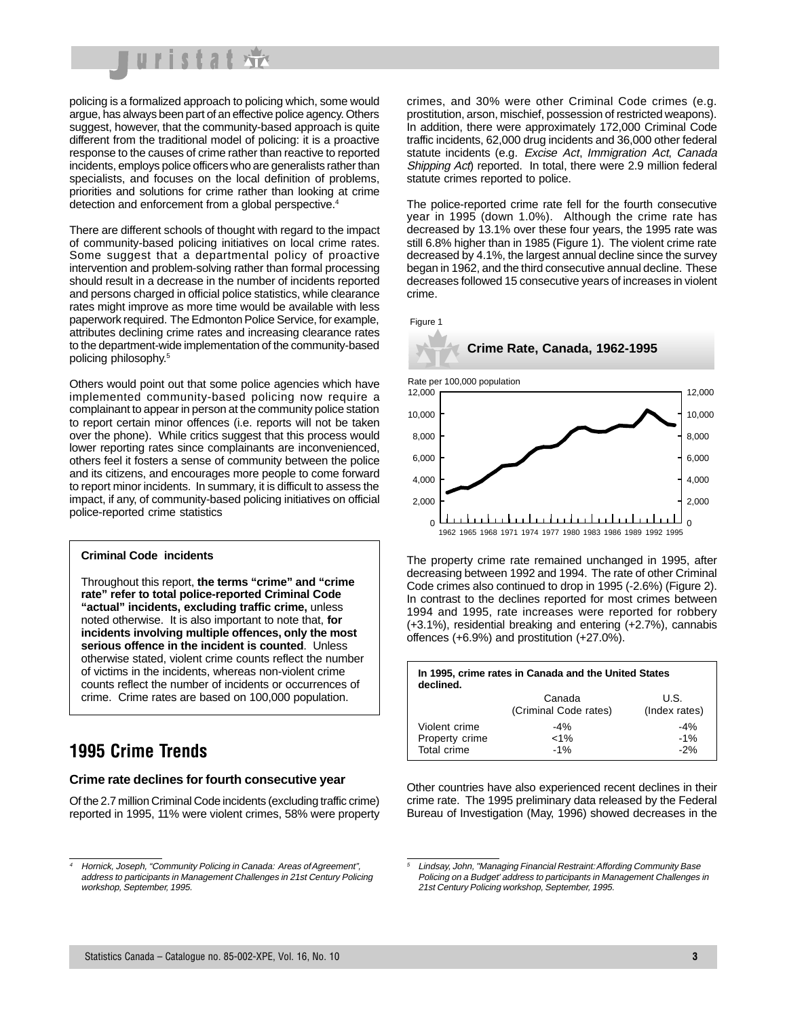

policing is a formalized approach to policing which, some would argue, has always been part of an effective police agency. Others suggest, however, that the community-based approach is quite different from the traditional model of policing: it is a proactive response to the causes of crime rather than reactive to reported incidents, employs police officers who are generalists rather than specialists, and focuses on the local definition of problems, priorities and solutions for crime rather than looking at crime detection and enforcement from a global perspective.<sup>4</sup>

There are different schools of thought with regard to the impact of community-based policing initiatives on local crime rates. Some suggest that a departmental policy of proactive intervention and problem-solving rather than formal processing should result in a decrease in the number of incidents reported and persons charged in official police statistics, while clearance rates might improve as more time would be available with less paperwork required. The Edmonton Police Service, for example, attributes declining crime rates and increasing clearance rates to the department-wide implementation of the community-based policing philosophy.5

Others would point out that some police agencies which have implemented community-based policing now require a complainant to appear in person at the community police station to report certain minor offences (i.e. reports will not be taken over the phone). While critics suggest that this process would lower reporting rates since complainants are inconvenienced, others feel it fosters a sense of community between the police and its citizens, and encourages more people to come forward to report minor incidents. In summary, it is difficult to assess the impact, if any, of community-based policing initiatives on official police-reported crime statistics

#### **Criminal Code incidents**

Throughout this report, **the terms "crime" and "crime rate" refer to total police-reported Criminal Code "actual" incidents, excluding traffic crime,** unless noted otherwise. It is also important to note that, **for incidents involving multiple offences, only the most serious offence in the incident is counted**. Unless otherwise stated, violent crime counts reflect the number of victims in the incidents, whereas non-violent crime counts reflect the number of incidents or occurrences of crime. Crime rates are based on 100,000 population.

## **1995 Crime Trends**

#### **Crime rate declines for fourth consecutive year**

Of the 2.7 million Criminal Code incidents (excluding traffic crime) reported in 1995, 11% were violent crimes, 58% were property crimes, and 30% were other Criminal Code crimes (e.g. prostitution, arson, mischief, possession of restricted weapons). In addition, there were approximately 172,000 Criminal Code traffic incidents, 62,000 drug incidents and 36,000 other federal statute incidents (e.g. Excise Act, Immigration Act, Canada Shipping Act) reported. In total, there were 2.9 million federal statute crimes reported to police.

The police-reported crime rate fell for the fourth consecutive year in 1995 (down 1.0%). Although the crime rate has decreased by 13.1% over these four years, the 1995 rate was still 6.8% higher than in 1985 (Figure 1). The violent crime rate decreased by 4.1%, the largest annual decline since the survey began in 1962, and the third consecutive annual decline. These decreases followed 15 consecutive years of increases in violent crime.

Figure 1



The property crime rate remained unchanged in 1995, after decreasing between 1992 and 1994. The rate of other Criminal Code crimes also continued to drop in 1995 (-2.6%) (Figure 2). In contrast to the declines reported for most crimes between 1994 and 1995, rate increases were reported for robbery (+3.1%), residential breaking and entering (+2.7%), cannabis offences (+6.9%) and prostitution (+27.0%).

| In 1995, crime rates in Canada and the United States<br>declined. |                                 |                         |  |  |  |  |
|-------------------------------------------------------------------|---------------------------------|-------------------------|--|--|--|--|
|                                                                   | Canada<br>(Criminal Code rates) | U.S.<br>(Index rates)   |  |  |  |  |
| Violent crime<br>Property crime<br>Total crime                    | $-4%$<br>$< 1\%$<br>$-1\%$      | $-4%$<br>$-1%$<br>$-2%$ |  |  |  |  |

Other countries have also experienced recent declines in their crime rate. The 1995 preliminary data released by the Federal Bureau of Investigation (May, 1996) showed decreases in the

<sup>4</sup> Hornick, Joseph, "Community Policing in Canada: Areas of Agreement", address to participants in Management Challenges in 21st Century Policing workshop, September, 1995.

<sup>5</sup> Lindsay, John, "Managing Financial Restraint: Affording Community Base Policing on a Budget' address to participants in Management Challenges in 21st Century Policing workshop, September, 1995.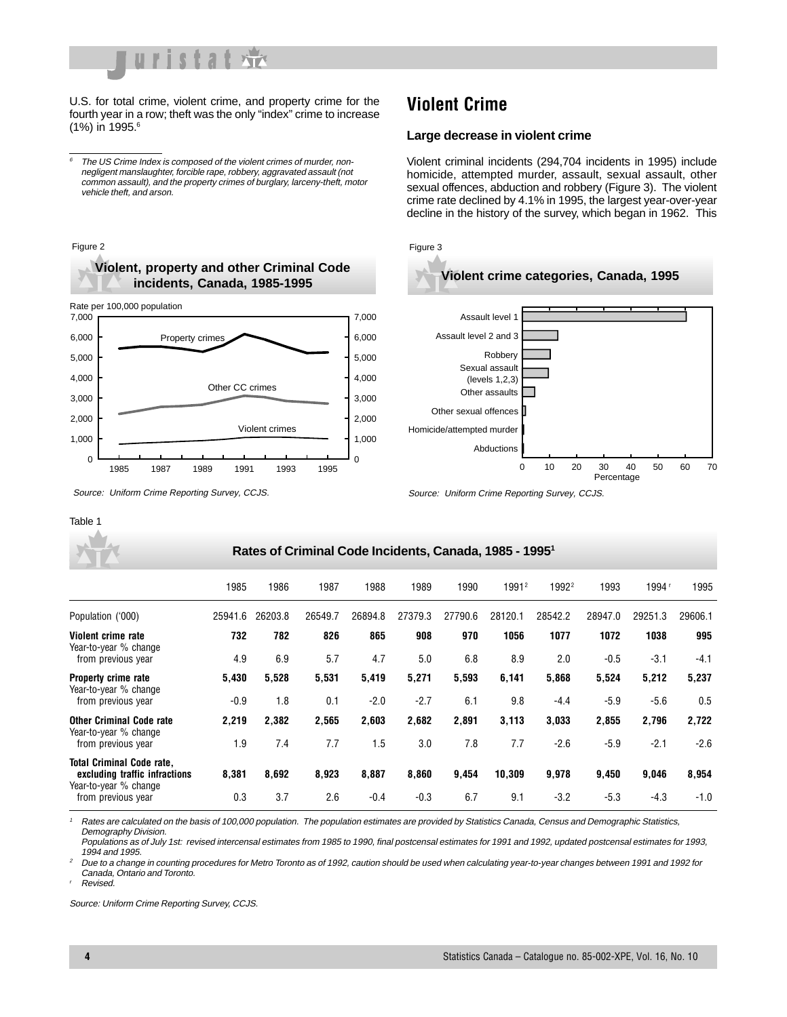

U.S. for total crime, violent crime, and property crime for the fourth year in a row; theft was the only "index" crime to increase (1%) in 1995.<sup>6</sup>

 $6$  The US Crime Index is composed of the violent crimes of murder, nonnegligent manslaughter, forcible rape, robbery, aggravated assault (not common assault), and the property crimes of burglary, larceny-theft, motor vehicle theft, and arson.

## **Violent Crime**

#### **Large decrease in violent crime**

Source: Uniform Crime Reporting Survey, CCJS.

Violent criminal incidents (294,704 incidents in 1995) include homicide, attempted murder, assault, sexual assault, other sexual offences, abduction and robbery (Figure 3). The violent crime rate declined by 4.1% in 1995, the largest year-over-year decline in the history of the survey, which began in 1962. This



Source: Uniform Crime Reporting Survey, CCJS.

|                                                                                            | 1985    | 1986    | 1987    | 1988    | 1989    | 1990    | 19912   | 1992 <sup>2</sup> | 1993    | 1994 <sup>r</sup> | 1995    |
|--------------------------------------------------------------------------------------------|---------|---------|---------|---------|---------|---------|---------|-------------------|---------|-------------------|---------|
| Population ('000)                                                                          | 25941.6 | 26203.8 | 26549.7 | 26894.8 | 27379.3 | 27790.6 | 28120.1 | 28542.2           | 28947.0 | 29251.3           | 29606.1 |
| Violent crime rate<br>Year-to-year % change                                                | 732     | 782     | 826     | 865     | 908     | 970     | 1056    | 1077              | 1072    | 1038              | 995     |
| from previous year                                                                         | 4.9     | 6.9     | 5.7     | 4.7     | 5.0     | 6.8     | 8.9     | 2.0               | $-0.5$  | $-3.1$            | $-4.1$  |
| <b>Property crime rate</b><br>Year-to-year % change                                        | 5,430   | 5,528   | 5,531   | 5,419   | 5,271   | 5,593   | 6,141   | 5,868             | 5,524   | 5,212             | 5,237   |
| from previous year                                                                         | $-0.9$  | 1.8     | 0.1     | $-2.0$  | $-2.7$  | 6.1     | 9.8     | $-4.4$            | $-5.9$  | $-5.6$            | 0.5     |
| <b>Other Criminal Code rate</b>                                                            | 2,219   | 2.382   | 2,565   | 2,603   | 2,682   | 2,891   | 3,113   | 3,033             | 2,855   | 2,796             | 2,722   |
| Year-to-year % change<br>from previous year                                                | 1.9     | 7.4     | 7.7     | 1.5     | 3.0     | 7.8     | 7.7     | $-2.6$            | $-5.9$  | $-2.1$            | $-2.6$  |
| <b>Total Criminal Code rate,</b><br>excluding traffic infractions<br>Year-to-year % change | 8,381   | 8,692   | 8,923   | 8,887   | 8,860   | 9,454   | 10,309  | 9,978             | 9,450   | 9,046             | 8,954   |
| from previous year                                                                         | 0.3     | 3.7     | 2.6     | $-0.4$  | $-0.3$  | 6.7     | 9.1     | $-3.2$            | $-5.3$  | $-4.3$            | $-1.0$  |

Rates are calculated on the basis of 100,000 population. The population estimates are provided by Statistics Canada, Census and Demographic Statistics, Demography Division.

Populations as of July 1st: revised intercensal estimates from 1985 to 1990, final postcensal estimates for 1991 and 1992, updated postcensal estimates for 1993, 1994 and 1995.

<sup>2</sup> Due to a change in counting procedures for Metro Toronto as of 1992, caution should be used when calculating year-to-year changes between 1991 and 1992 for Canada, Ontario and Toronto.

**Revised** 

Table 1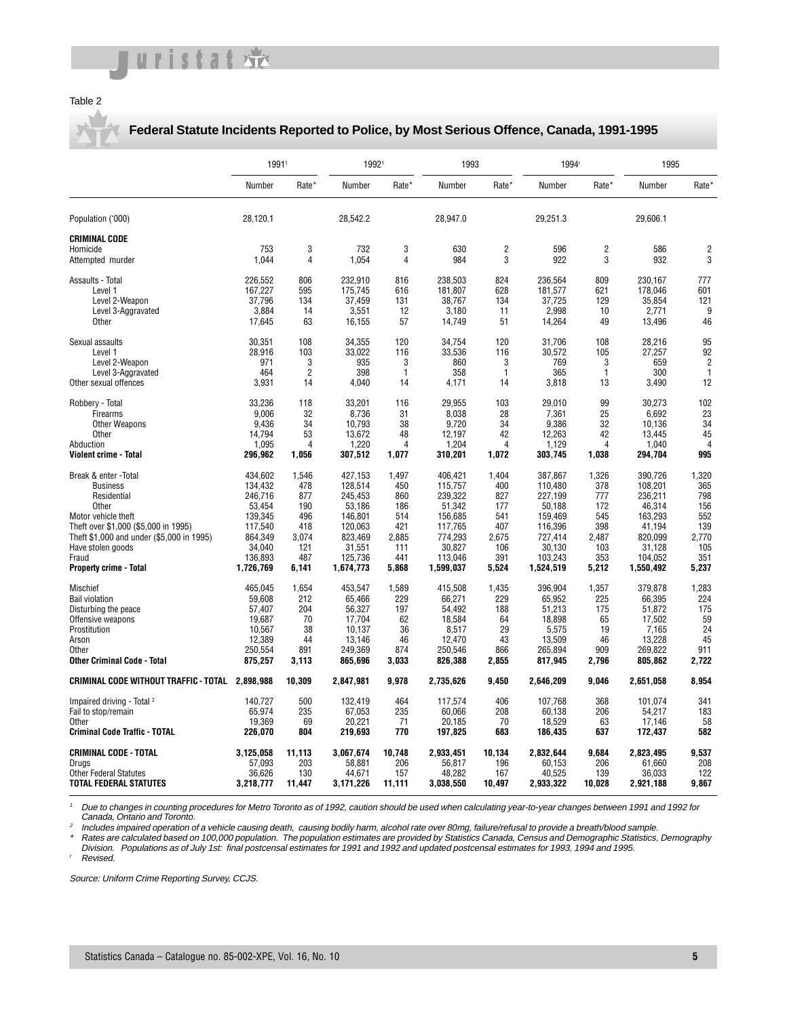#### Table 2

#### **Federal Statute Incidents Reported to Police, by Most Serious Offence, Canada, 1991-1995**

|                                                      | 19911        |                |              | 19921               |            | 1993         |            | 1994 <sup>r</sup> |            | 1995           |
|------------------------------------------------------|--------------|----------------|--------------|---------------------|------------|--------------|------------|-------------------|------------|----------------|
|                                                      | Number       | Rate*          | Number       | Rate*               | Number     | Rate*        | Number     | Rate*             | Number     | Rate*          |
| Population ('000)                                    | 28.120.1     |                | 28,542.2     |                     | 28,947.0   |              | 29,251.3   |                   | 29,606.1   |                |
| <b>CRIMINAL CODE</b><br>Homicide<br>Attempted murder | 753<br>1,044 | 3<br>4         | 732<br>1,054 | 3<br>$\overline{4}$ | 630<br>984 | 2<br>3       | 596<br>922 | 2<br>3            | 586<br>932 | 2<br>3         |
| Assaults - Total                                     | 226,552      | 806            | 232,910      | 816                 | 238,503    | 824          | 236,564    | 809               | 230,167    | 777            |
| Level 1                                              | 167,227      | 595            | 175.745      | 616                 | 181.807    | 628          | 181,577    | 621               | 178,046    | 601            |
| Level 2-Weapon                                       | 37,796       | 134            | 37,459       | 131                 | 38,767     | 134          | 37,725     | 129               | 35,854     | 121            |
| Level 3-Aggravated                                   | 3.884        | 14             | 3,551        | 12                  | 3.180      | 11           | 2,998      | 10                | 2.771      | 9              |
| Other                                                | 17,645       | 63             | 16,155       | 57                  | 14,749     | 51           | 14,264     | 49                | 13,496     | 46             |
| Sexual assaults                                      | 30.351       | 108            | 34,355       | 120                 | 34.754     | 120          | 31.706     | 108               | 28,216     | 95             |
| Level 1                                              | 28.916       | 103            | 33.022       | 116                 | 33,536     | 116          | 30,572     | 105               | 27.257     | 92             |
| Level 2-Weapon                                       | 971          | 3              | 935          | 3                   | 860        | 3            | 769        | 3                 | 659        | $\overline{2}$ |
| Level 3-Aggravated                                   | 464          | $\overline{2}$ | 398          | $\mathbf{1}$        | 358        | $\mathbf{1}$ | 365        | $\mathbf{1}$      | 300        | $\mathbf{1}$   |
| Other sexual offences                                | 3,931        | 14             | 4,040        | 14                  | 4,171      | 14           | 3,818      | 13                | 3,490      | 12             |
| Robbery - Total                                      | 33,236       | 118            | 33,201       | 116                 | 29,955     | 103          | 29,010     | 99                | 30,273     | 102            |
| Firearms                                             | 9.006        | 32             | 8.736        | 31                  | 8.038      | 28           | 7,361      | 25                | 6,692      | 23             |
| Other Weapons                                        | 9.436        | 34             | 10.793       | 38                  | 9.720      | 34           | 9,386      | 32                | 10.136     | 34             |
| Other                                                | 14,794       | 53             | 13,672       | 48                  | 12,197     | 42           | 12,263     | 42                | 13,445     | 45             |
| Abduction                                            | 1,095        | $\overline{4}$ | 1,220        | 4                   | 1,204      | 4            | 1,129      | 4                 | 1,040      | $\overline{4}$ |
| <b>Violent crime - Total</b>                         | 296,962      | 1,056          | 307,512      | 1,077               | 310,201    | 1,072        | 303,745    | 1,038             | 294,704    | 995            |
| Break & enter - Total                                | 434,602      | 1,546          | 427,153      | 1,497               | 406,421    | 1,404        | 387,867    | 1,326             | 390,726    | 1,320          |
| <b>Business</b>                                      | 134,432      | 478            | 128,514      | 450                 | 115,757    | 400          | 110,480    | 378               | 108,201    | 365            |
| Residential                                          | 246,716      | 877            | 245,453      | 860                 | 239,322    | 827          | 227,199    | 777               | 236,211    | 798            |
| Other                                                | 53.454       | 190            | 53.186       | 186                 | 51.342     | 177          | 50.188     | 172               | 46.314     | 156            |
| Motor vehicle theft                                  | 139,345      | 496            | 146.801      | 514                 | 156.685    | 541          | 159,469    | 545               | 163.293    | 552            |
| Theft over \$1,000 (\$5,000 in 1995)                 | 117,540      | 418            | 120,063      | 421                 | 117,765    | 407          | 116,396    | 398               | 41,194     | 139            |
| Theft \$1,000 and under (\$5,000 in 1995)            | 864.349      | 3,074          | 823.469      | 2,885               | 774,293    | 2,675        | 727,414    | 2,487             | 820.099    | 2,770          |
| Have stolen goods                                    | 34,040       | 121            | 31,551       | 111                 | 30,827     | 106          | 30,130     | 103               | 31,128     | 105            |
| Fraud                                                | 136,893      | 487            | 125,736      | 441                 | 113,046    | 391          | 103,243    | 353               | 104,052    | 351            |
| <b>Property crime - Total</b>                        | 1,726,769    | 6,141          | 1,674,773    | 5,868               | 1,599,037  | 5,524        | 1,524,519  | 5,212             | 1,550,492  | 5,237          |
| Mischief                                             | 465,045      | 1,654          | 453,547      | 1,589               | 415,508    | 1,435        | 396,904    | 1,357             | 379,878    | 1,283          |
| <b>Bail violation</b>                                | 59,608       | 212            | 65,466       | 229                 | 66,271     | 229          | 65,952     | 225               | 66,395     | 224            |
| Disturbing the peace                                 | 57.407       | 204            | 56,327       | 197                 | 54.492     | 188          | 51.213     | 175               | 51.872     | 175            |
| Offensive weapons                                    | 19.687       | 70             | 17,704       | 62                  | 18.584     | 64           | 18.898     | 65                | 17,502     | 59             |
| Prostitution                                         | 10,567       | 38             | 10,137       | 36                  | 8,517      | 29           | 5,575      | 19                | 7,165      | 24             |
| Arson                                                | 12,389       | 44             | 13.146       | 46                  | 12,470     | 43           | 13,509     | 46                | 13,228     | 45             |
| Other                                                | 250.554      | 891            | 249.369      | 874                 | 250.546    | 866          | 265.894    | 909               | 269.822    | 911            |
| <b>Other Criminal Code - Total</b>                   | 875,257      | 3,113          | 865,696      | 3,033               | 826,388    | 2,855        | 817,945    | 2,796             | 805,862    | 2,722          |
| CRIMINAL CODE WITHOUT TRAFFIC - TOTAL 2,898,988      |              | 10,309         | 2,847,981    | 9,978               | 2,735,626  | 9,450        | 2,646,209  | 9,046             | 2,651,058  | 8,954          |
| Impaired driving - Total <sup>2</sup>                | 140,727      | 500            | 132,419      | 464                 | 117,574    | 406          | 107,768    | 368               | 101,074    | 341            |
| Fail to stop/remain                                  | 65,974       | 235            | 67,053       | 235                 | 60,066     | 208          | 60,138     | 206               | 54,217     | 183            |
| Other                                                | 19,369       | 69             | 20,221       | 71                  | 20,185     | 70           | 18,529     | 63                | 17,146     | 58             |
| <b>Criminal Code Traffic - TOTAL</b>                 | 226,070      | 804            | 219,693      | 770                 | 197,825    | 683          | 186,435    | 637               | 172,437    | 582            |
| <b>CRIMINAL CODE - TOTAL</b>                         | 3,125,058    | 11,113         | 3,067,674    | 10,748              | 2,933,451  | 10,134       | 2,832,644  | 9,684             | 2,823,495  | 9,537          |
| Drugs                                                | 57.093       | 203            | 58.881       | 206                 | 56.817     | 196          | 60.153     | 206               | 61.660     | 208            |
| <b>Other Federal Statutes</b>                        | 36,626       | 130            | 44,671       | 157                 | 48,282     | 167          | 40,525     | 139               | 36,033     | 122            |
| <b>TOTAL FEDERAL STATUTES</b>                        | 3,218,777    | 11,447         | 3,171,226    | 11,111              | 3,038,550  | 10,497       | 2,933,322  | 10,028            | 2,921,188  | 9,867          |

<sup>1</sup> Due to changes in counting procedures for Metro Toronto as of 1992, caution should be used when calculating year-to-year changes between 1991 and 1992 for Canada, Ontario and Toronto.

<sup>2</sup> Includes impaired operation of a vehicle causing death, causing bodily harm, alcohol rate over 80mg, failure/refusal to provide a breath/blood sample.

\* Rates are calculated based on 100,000 population. The population estimates are provided by Statistics Canada, Census and Demographic Statistics, Demography Division. Populations as of July 1st: final postcensal estimates for 1991 and 1992 and updated postcensal estimates for 1993, 1994 and 1995.

Revised.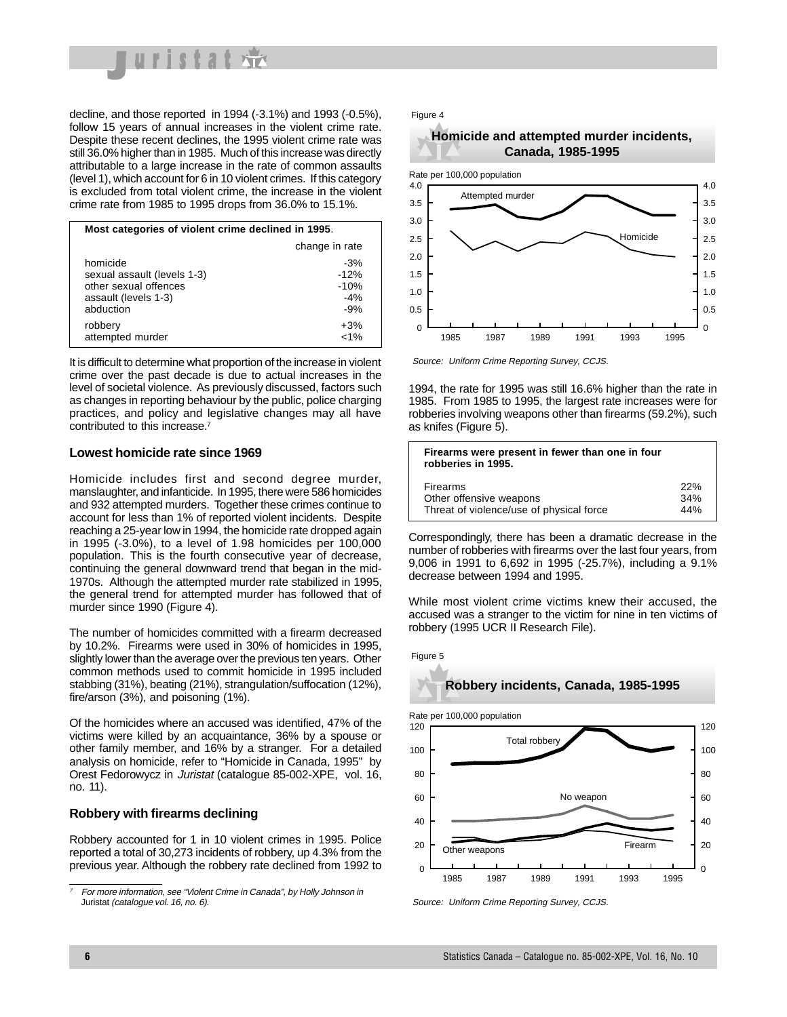

decline, and those reported in 1994 (-3.1%) and 1993 (-0.5%), follow 15 years of annual increases in the violent crime rate. Despite these recent declines, the 1995 violent crime rate was still 36.0% higher than in 1985. Much of this increase was directly attributable to a large increase in the rate of common assaults (level 1), which account for 6 in 10 violent crimes. If this category is excluded from total violent crime, the increase in the violent crime rate from 1985 to 1995 drops from 36.0% to 15.1%.

| Most categories of violent crime declined in 1995.                                                    |                                             |  |  |  |  |  |
|-------------------------------------------------------------------------------------------------------|---------------------------------------------|--|--|--|--|--|
|                                                                                                       | change in rate                              |  |  |  |  |  |
| homicide<br>sexual assault (levels 1-3)<br>other sexual offences<br>assault (levels 1-3)<br>abduction | $-3%$<br>$-12%$<br>$-10%$<br>$-4%$<br>$-9%$ |  |  |  |  |  |
| robbery<br>attempted murder                                                                           | $+3%$<br>$~1\%$                             |  |  |  |  |  |

It is difficult to determine what proportion of the increase in violent crime over the past decade is due to actual increases in the level of societal violence. As previously discussed, factors such as changes in reporting behaviour by the public, police charging practices, and policy and legislative changes may all have contributed to this increase.7

#### **Lowest homicide rate since 1969**

Homicide includes first and second degree murder, manslaughter, and infanticide. In 1995, there were 586 homicides and 932 attempted murders. Together these crimes continue to account for less than 1% of reported violent incidents. Despite reaching a 25-year low in 1994, the homicide rate dropped again in 1995 (-3.0%), to a level of 1.98 homicides per 100,000 population. This is the fourth consecutive year of decrease, continuing the general downward trend that began in the mid-1970s. Although the attempted murder rate stabilized in 1995, the general trend for attempted murder has followed that of murder since 1990 (Figure 4).

The number of homicides committed with a firearm decreased by 10.2%. Firearms were used in 30% of homicides in 1995, slightly lower than the average over the previous ten years. Other common methods used to commit homicide in 1995 included stabbing (31%), beating (21%), strangulation/suffocation (12%), fire/arson (3%), and poisoning (1%).

Of the homicides where an accused was identified, 47% of the victims were killed by an acquaintance, 36% by a spouse or other family member, and 16% by a stranger. For a detailed analysis on homicide, refer to "Homicide in Canada, 1995" by Orest Fedorowycz in Juristat (catalogue 85-002-XPE, vol. 16, no. 11).

#### **Robbery with firearms declining**

Robbery accounted for 1 in 10 violent crimes in 1995. Police reported a total of 30,273 incidents of robbery, up 4.3% from the previous year. Although the robbery rate declined from 1992 to

#### Figure 4





Source: Uniform Crime Reporting Survey, CCJS.

1994, the rate for 1995 was still 16.6% higher than the rate in 1985. From 1985 to 1995, the largest rate increases were for robberies involving weapons other than firearms (59.2%), such as knifes (Figure 5).

| Firearms were present in fewer than one in four<br>robberies in 1995. |     |
|-----------------------------------------------------------------------|-----|
| Firearms                                                              | 22% |
| Other offensive weapons                                               | 34% |
| Threat of violence/use of physical force                              | 44% |

Correspondingly, there has been a dramatic decrease in the number of robberies with firearms over the last four years, from 9,006 in 1991 to 6,692 in 1995 (-25.7%), including a 9.1% decrease between 1994 and 1995.

While most violent crime victims knew their accused, the accused was a stranger to the victim for nine in ten victims of robbery (1995 UCR II Research File).



# **Robbery incidents, Canada, 1985-1995**



For more information, see "Violent Crime in Canada", by Holly Johnson in<br>Juristat (cataloque vol. 16, no. 6).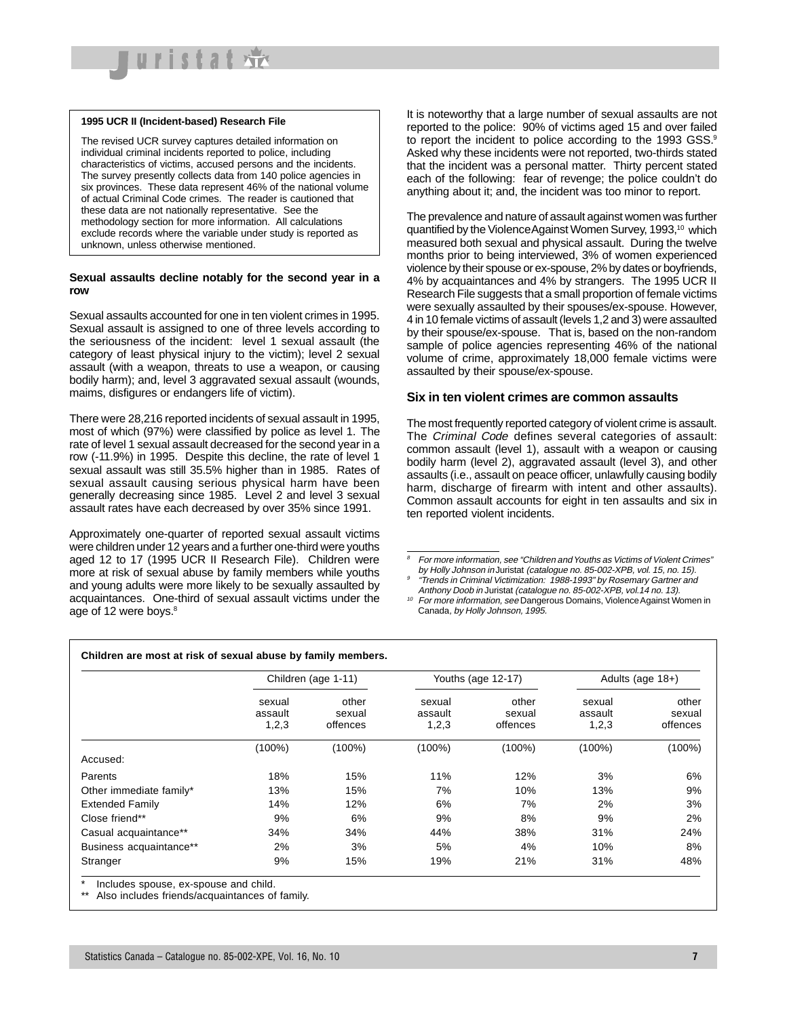

#### **1995 UCR II (Incident-based) Research File**

The revised UCR survey captures detailed information on individual criminal incidents reported to police, including characteristics of victims, accused persons and the incidents. The survey presently collects data from 140 police agencies in six provinces. These data represent 46% of the national volume of actual Criminal Code crimes. The reader is cautioned that these data are not nationally representative. See the methodology section for more information. All calculations exclude records where the variable under study is reported as unknown, unless otherwise mentioned.

#### **Sexual assaults decline notably for the second year in a row**

Sexual assaults accounted for one in ten violent crimes in 1995. Sexual assault is assigned to one of three levels according to the seriousness of the incident: level 1 sexual assault (the category of least physical injury to the victim); level 2 sexual assault (with a weapon, threats to use a weapon, or causing bodily harm); and, level 3 aggravated sexual assault (wounds, maims, disfigures or endangers life of victim).

There were 28,216 reported incidents of sexual assault in 1995, most of which (97%) were classified by police as level 1. The rate of level 1 sexual assault decreased for the second year in a row (-11.9%) in 1995. Despite this decline, the rate of level 1 sexual assault was still 35.5% higher than in 1985. Rates of sexual assault causing serious physical harm have been generally decreasing since 1985. Level 2 and level 3 sexual assault rates have each decreased by over 35% since 1991.

Approximately one-quarter of reported sexual assault victims were children under 12 years and a further one-third were youths aged 12 to 17 (1995 UCR II Research File). Children were more at risk of sexual abuse by family members while youths and young adults were more likely to be sexually assaulted by acquaintances. One-third of sexual assault victims under the age of 12 were boys.<sup>8</sup>

It is noteworthy that a large number of sexual assaults are not reported to the police: 90% of victims aged 15 and over failed to report the incident to police according to the 1993 GSS.<sup>9</sup> Asked why these incidents were not reported, two-thirds stated that the incident was a personal matter. Thirty percent stated each of the following: fear of revenge; the police couldn't do anything about it; and, the incident was too minor to report.

The prevalence and nature of assault against women was further quantified by the Violence Against Women Survey, 1993,<sup>10</sup> which measured both sexual and physical assault. During the twelve months prior to being interviewed, 3% of women experienced violence by their spouse or ex-spouse, 2% by dates or boyfriends, 4% by acquaintances and 4% by strangers. The 1995 UCR II Research File suggests that a small proportion of female victims were sexually assaulted by their spouses/ex-spouse. However, 4 in 10 female victims of assault (levels 1,2 and 3) were assaulted by their spouse/ex-spouse. That is, based on the non-random sample of police agencies representing 46% of the national volume of crime, approximately 18,000 female victims were assaulted by their spouse/ex-spouse.

#### **Six in ten violent crimes are common assaults**

The most frequently reported category of violent crime is assault. The Criminal Code defines several categories of assault: common assault (level 1), assault with a weapon or causing bodily harm (level 2), aggravated assault (level 3), and other assaults (i.e., assault on peace officer, unlawfully causing bodily harm, discharge of firearm with intent and other assaults). Common assault accounts for eight in ten assaults and six in ten reported violent incidents.

<sup>10</sup> For more information, see Dangerous Domains, Violence Against Women in Canada, by Holly Johnson, 1995.

|                         | Children (age 1-11)        |                             |                            | Youths (age 12-17)          | Adults (age $18+$ )        |                             |  |
|-------------------------|----------------------------|-----------------------------|----------------------------|-----------------------------|----------------------------|-----------------------------|--|
|                         | sexual<br>assault<br>1,2,3 | other<br>sexual<br>offences | sexual<br>assault<br>1,2,3 | other<br>sexual<br>offences | sexual<br>assault<br>1,2,3 | other<br>sexual<br>offences |  |
|                         | $(100\%)$                  | $(100\%)$                   | $(100\%)$                  | $(100\%)$                   | $(100\%)$                  | $(100\%)$                   |  |
| Accused:                |                            |                             |                            |                             |                            |                             |  |
| Parents                 | 18%                        | 15%                         | 11%                        | 12%                         | 3%                         | 6%                          |  |
| Other immediate family* | 13%                        | 15%                         | 7%                         | 10%                         | 13%                        | 9%                          |  |
| <b>Extended Family</b>  | 14%                        | 12%                         | 6%                         | 7%                          | 2%                         | 3%                          |  |
| Close friend**          | 9%                         | 6%                          | 9%                         | 8%                          | 9%                         | 2%                          |  |
| Casual acquaintance**   | 34%                        | 34%                         | 44%                        | 38%                         | 31%                        | 24%                         |  |
| Business acquaintance** | 2%                         | 3%                          | 5%                         | 4%                          | 10%                        | 8%                          |  |
| Stranger                | 9%                         | 15%                         | 19%                        | 21%                         | 31%                        | 48%                         |  |

\*\* Also includes friends/acquaintances of family.

<sup>8</sup> For more information, see "Children and Youths as Victims of Violent Crimes" by Holly Johnson in Juristat (catalogue no. 85-002-XPB, vol. 15, no. 15).

<sup>9</sup> "Trends in Criminal Victimization: 1988-1993" by Rosemary Gartner and Anthony Doob in Juristat (catalogue no. 85-002-XPB, vol.14 no. 13).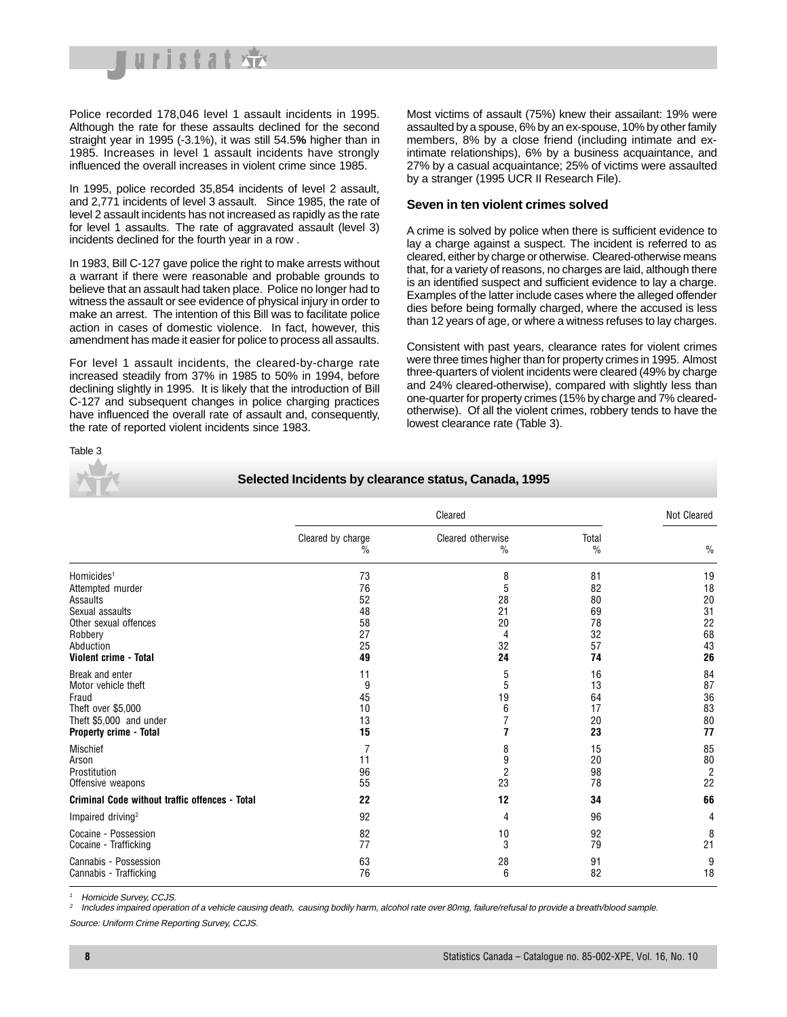

Police recorded 178,046 level 1 assault incidents in 1995. Although the rate for these assaults declined for the second straight year in 1995 (-3.1%), it was still 54.5**%** higher than in 1985. Increases in level 1 assault incidents have strongly influenced the overall increases in violent crime since 1985.

In 1995, police recorded 35,854 incidents of level 2 assault, and 2,771 incidents of level 3 assault. Since 1985, the rate of level 2 assault incidents has not increased as rapidly as the rate for level 1 assaults. The rate of aggravated assault (level 3) incidents declined for the fourth year in a row .

In 1983, Bill C-127 gave police the right to make arrests without a warrant if there were reasonable and probable grounds to believe that an assault had taken place. Police no longer had to witness the assault or see evidence of physical injury in order to make an arrest. The intention of this Bill was to facilitate police action in cases of domestic violence. In fact, however, this amendment has made it easier for police to process all assaults.

For level 1 assault incidents, the cleared-by-charge rate increased steadily from 37% in 1985 to 50% in 1994, before declining slightly in 1995. It is likely that the introduction of Bill C-127 and subsequent changes in police charging practices have influenced the overall rate of assault and, consequently, the rate of reported violent incidents since 1983.

Most victims of assault (75%) knew their assailant: 19% were assaulted by a spouse, 6% by an ex-spouse, 10% by other family members, 8% by a close friend (including intimate and exintimate relationships), 6% by a business acquaintance, and 27% by a casual acquaintance; 25% of victims were assaulted by a stranger (1995 UCR II Research File).

#### **Seven in ten violent crimes solved**

A crime is solved by police when there is sufficient evidence to lay a charge against a suspect. The incident is referred to as cleared, either by charge or otherwise. Cleared-otherwise means that, for a variety of reasons, no charges are laid, although there is an identified suspect and sufficient evidence to lay a charge. Examples of the latter include cases where the alleged offender dies before being formally charged, where the accused is less than 12 years of age, or where a witness refuses to lay charges.

Consistent with past years, clearance rates for violent crimes were three times higher than for property crimes in 1995. Almost three-quarters of violent incidents were cleared (49% by charge and 24% cleared-otherwise), compared with slightly less than one-quarter for property crimes (15% by charge and 7% clearedotherwise). Of all the violent crimes, robbery tends to have the lowest clearance rate (Table 3).

#### Table 3



**Selected Incidents by clearance status, Canada, 1995**

|                                                                                                                                                     |                                              | Cleared                                   |                                              |                                              |  |  |  |
|-----------------------------------------------------------------------------------------------------------------------------------------------------|----------------------------------------------|-------------------------------------------|----------------------------------------------|----------------------------------------------|--|--|--|
|                                                                                                                                                     | Cleared by charge<br>%                       | Cleared otherwise<br>$\%$                 | Total<br>$\frac{0}{0}$                       | $\frac{0}{0}$                                |  |  |  |
| Homicides <sup>1</sup><br>Attempted murder<br>Assaults<br>Sexual assaults<br>Other sexual offences<br>Robbery<br>Abduction<br>Violent crime - Total | 73<br>76<br>52<br>48<br>58<br>27<br>25<br>49 | 8<br>5<br>28<br>21<br>20<br>4<br>32<br>24 | 81<br>82<br>80<br>69<br>78<br>32<br>57<br>74 | 19<br>18<br>20<br>31<br>22<br>68<br>43<br>26 |  |  |  |
| Break and enter<br>Motor vehicle theft<br>Fraud<br>Theft over \$5,000<br>Theft \$5,000 and under<br>Property crime - Total                          | 11<br>9<br>45<br>10<br>13<br>15              | 5<br>5<br>19<br>6                         | 16<br>13<br>64<br>17<br>20<br>23             | 84<br>87<br>36<br>83<br>80<br>77             |  |  |  |
| <b>Mischief</b><br>Arson<br>Prostitution<br>Offensive weapons                                                                                       | 11<br>96<br>55                               | 8<br>9<br>2<br>23                         | 15<br>20<br>98<br>78                         | 85<br>80<br>$\overline{2}$<br>22             |  |  |  |
| <b>Criminal Code without traffic offences - Total</b>                                                                                               | 22                                           | 12                                        | 34                                           | 66                                           |  |  |  |
| Impaired driving <sup>2</sup>                                                                                                                       | 92                                           | 4                                         | 96                                           | 4                                            |  |  |  |
| Cocaine - Possession<br>Cocaine - Trafficking                                                                                                       | 82<br>77                                     | 10<br>3                                   | 92<br>79                                     | 8<br>21                                      |  |  |  |
| Cannabis - Possession<br>Cannabis - Trafficking                                                                                                     | 63<br>76                                     | 28<br>6                                   | 91<br>82                                     | 9<br>18                                      |  |  |  |

<sup>1</sup> Homicide Survey, CCJS.

<sup>2</sup> Includes impaired operation of a vehicle causing death, causing bodily harm, alcohol rate over 80mg, failure/refusal to provide a breath/blood sample.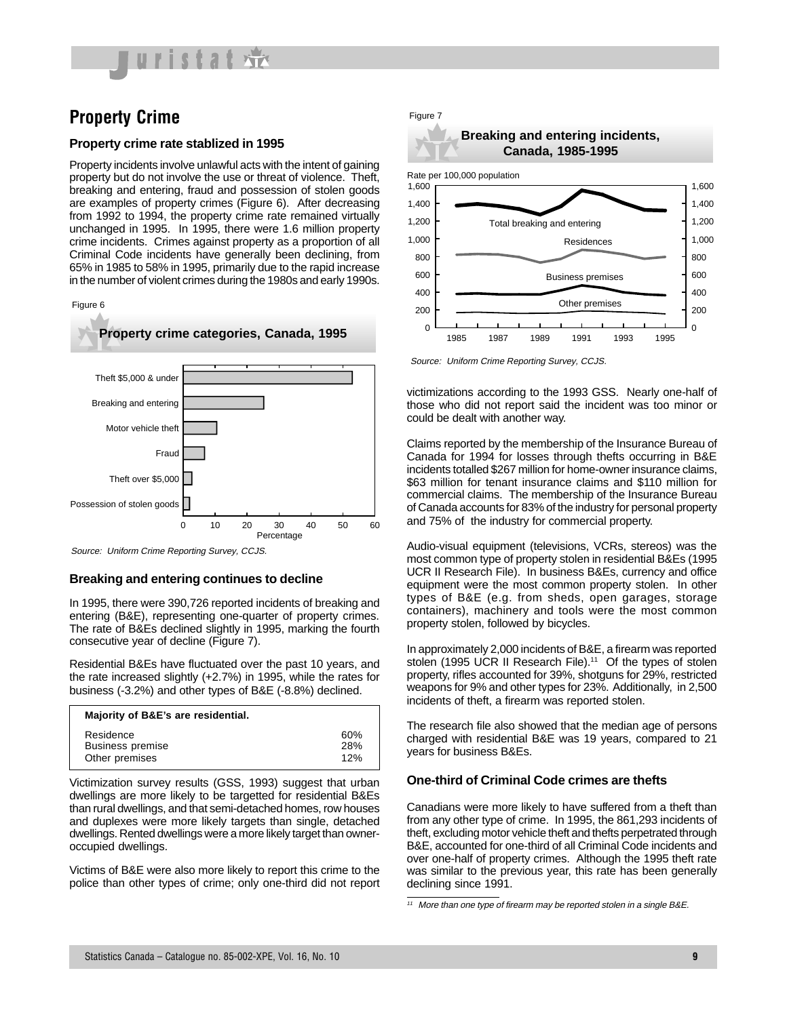

## **Property Crime**

#### **Property crime rate stablized in 1995**

Property incidents involve unlawful acts with the intent of gaining property but do not involve the use or threat of violence. Theft, breaking and entering, fraud and possession of stolen goods are examples of property crimes (Figure 6). After decreasing from 1992 to 1994, the property crime rate remained virtually unchanged in 1995. In 1995, there were 1.6 million property crime incidents. Crimes against property as a proportion of all Criminal Code incidents have generally been declining, from 65% in 1985 to 58% in 1995, primarily due to the rapid increase in the number of violent crimes during the 1980s and early 1990s.





Source: Uniform Crime Reporting Survey, CCJS.

#### **Breaking and entering continues to decline**

In 1995, there were 390,726 reported incidents of breaking and entering (B&E), representing one-quarter of property crimes. The rate of B&Es declined slightly in 1995, marking the fourth consecutive year of decline (Figure 7).

Residential B&Es have fluctuated over the past 10 years, and the rate increased slightly (+2.7%) in 1995, while the rates for business (-3.2%) and other types of B&E (-8.8%) declined.

| Majority of B&E's are residential. |     |
|------------------------------------|-----|
| Residence                          | 60% |
| <b>Business premise</b>            | 28% |
| Other premises                     | 12% |

Victimization survey results (GSS, 1993) suggest that urban dwellings are more likely to be targetted for residential B&Es than rural dwellings, and that semi-detached homes, row houses and duplexes were more likely targets than single, detached dwellings. Rented dwellings were a more likely target than owneroccupied dwellings.

Victims of B&E were also more likely to report this crime to the police than other types of crime; only one-third did not report



Source: Uniform Crime Reporting Survey, CCJS.

victimizations according to the 1993 GSS. Nearly one-half of those who did not report said the incident was too minor or could be dealt with another way.

Claims reported by the membership of the Insurance Bureau of Canada for 1994 for losses through thefts occurring in B&E incidents totalled \$267 million for home-owner insurance claims, \$63 million for tenant insurance claims and \$110 million for commercial claims. The membership of the Insurance Bureau of Canada accounts for 83% of the industry for personal property and 75% of the industry for commercial property.

Audio-visual equipment (televisions, VCRs, stereos) was the most common type of property stolen in residential B&Es (1995 UCR II Research File). In business B&Es, currency and office equipment were the most common property stolen. In other types of B&E (e.g. from sheds, open garages, storage containers), machinery and tools were the most common property stolen, followed by bicycles.

In approximately 2,000 incidents of B&E, a firearm was reported stolen (1995 UCR II Research File).<sup>11</sup> Of the types of stolen property, rifles accounted for 39%, shotguns for 29%, restricted weapons for 9% and other types for 23%. Additionally, in 2,500 incidents of theft, a firearm was reported stolen.

The research file also showed that the median age of persons charged with residential B&E was 19 years, compared to 21 years for business B&Es.

#### **One-third of Criminal Code crimes are thefts**

Canadians were more likely to have suffered from a theft than from any other type of crime. In 1995, the 861,293 incidents of theft, excluding motor vehicle theft and thefts perpetrated through B&E, accounted for one-third of all Criminal Code incidents and over one-half of property crimes. Although the 1995 theft rate was similar to the previous year, this rate has been generally declining since 1991.

<sup>11</sup> More than one type of firearm may be reported stolen in a single B&E.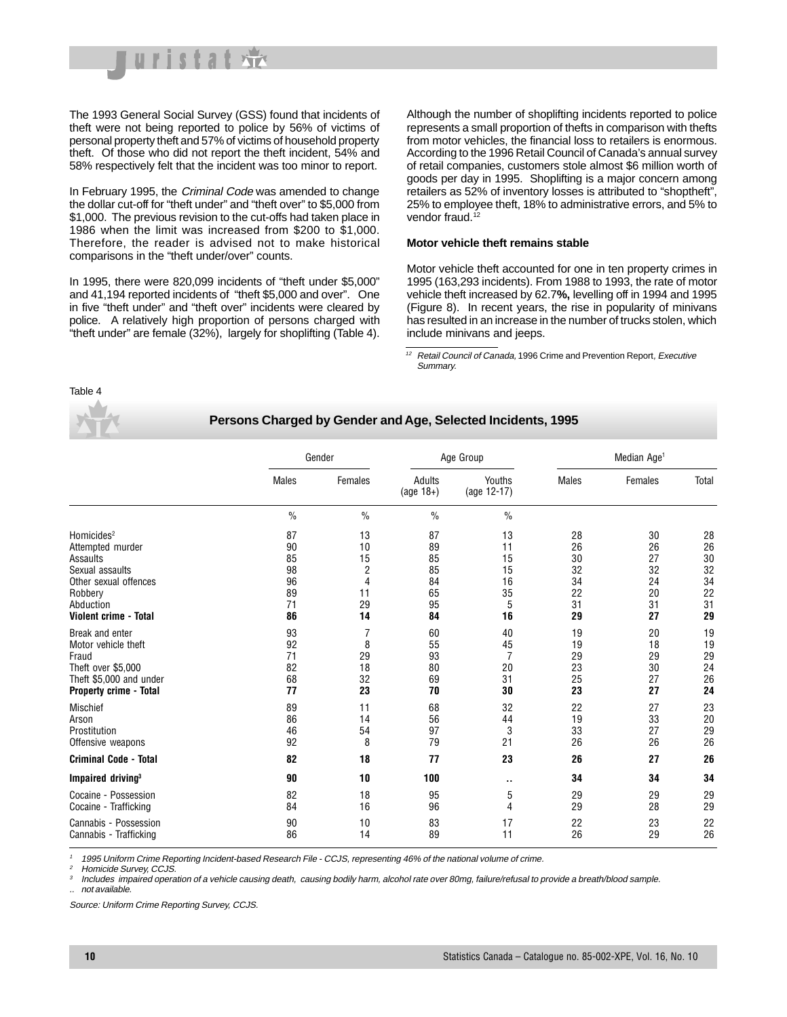

The 1993 General Social Survey (GSS) found that incidents of theft were not being reported to police by 56% of victims of personal property theft and 57% of victims of household property theft. Of those who did not report the theft incident, 54% and 58% respectively felt that the incident was too minor to report.

In February 1995, the Criminal Code was amended to change the dollar cut-off for "theft under" and "theft over" to \$5,000 from \$1,000. The previous revision to the cut-offs had taken place in 1986 when the limit was increased from \$200 to \$1,000. Therefore, the reader is advised not to make historical comparisons in the "theft under/over" counts.

In 1995, there were 820,099 incidents of "theft under \$5,000" and 41,194 reported incidents of "theft \$5,000 and over". One in five "theft under" and "theft over" incidents were cleared by police. A relatively high proportion of persons charged with "theft under" are female (32%), largely for shoplifting (Table 4).

Although the number of shoplifting incidents reported to police represents a small proportion of thefts in comparison with thefts from motor vehicles, the financial loss to retailers is enormous. According to the 1996 Retail Council of Canada's annual survey of retail companies, customers stole almost \$6 million worth of goods per day in 1995. Shoplifting is a major concern among retailers as 52% of inventory losses is attributed to "shoptheft", 25% to employee theft, 18% to administrative errors, and 5% to vendor fraud.<sup>12</sup>

#### **Motor vehicle theft remains stable**

Motor vehicle theft accounted for one in ten property crimes in 1995 (163,293 incidents). From 1988 to 1993, the rate of motor vehicle theft increased by 62.7**%,** levelling off in 1994 and 1995 (Figure 8). In recent years, the rise in popularity of minivans has resulted in an increase in the number of trucks stolen, which include minivans and jeeps.

 $\frac{12}{12}$  Retail Council of Canada, 1996 Crime and Prevention Report, Executive Summary.

Table 4

#### **Persons Charged by Gender and Age, Selected Incidents, 1995**

|                               | Gender       |                | Age Group              |                       | Median Age <sup>1</sup> |         |       |
|-------------------------------|--------------|----------------|------------------------|-----------------------|-------------------------|---------|-------|
|                               | <b>Males</b> | <b>Females</b> | Adults<br>(age $18+$ ) | Youths<br>(age 12-17) | <b>Males</b>            | Females | Total |
|                               | $\%$         | $\frac{0}{0}$  | $\%$                   | $\frac{0}{0}$         |                         |         |       |
| Homicides <sup>2</sup>        | 87           | 13             | 87                     | 13                    | 28                      | 30      | 28    |
| Attempted murder              | 90           | 10             | 89                     | 11                    | 26                      | 26      | 26    |
| Assaults                      | 85           | 15             | 85                     | 15                    | 30                      | 27      | 30    |
| Sexual assaults               | 98           | $\sqrt{2}$     | 85                     | 15                    | 32                      | 32      | 32    |
| Other sexual offences         | 96           | $\overline{4}$ | 84                     | 16                    | 34                      | 24      | 34    |
| Robbery                       | 89           | 11             | 65                     | 35                    | 22                      | 20      | 22    |
| Abduction                     | 71           | 29             | 95                     | 5                     | 31                      | 31      | 31    |
| Violent crime - Total         | 86           | 14             | 84                     | 16                    | 29                      | 27      | 29    |
| Break and enter               | 93           | $\overline{7}$ | 60                     | 40                    | 19                      | 20      | 19    |
| Motor vehicle theft           | 92           | 8              | 55                     | 45                    | 19                      | 18      | 19    |
| Fraud                         | 71           | 29             | 93                     | $\overline{7}$        | 29                      | 29      | 29    |
| Theft over \$5.000            | 82           | 18             | 80                     | 20                    | 23                      | 30      | 24    |
| Theft \$5,000 and under       | 68           | 32             | 69                     | 31                    | 25                      | 27      | 26    |
| <b>Property crime - Total</b> | 77           | 23             | 70                     | 30                    | 23                      | 27      | 24    |
| <b>Mischief</b>               | 89           | 11             | 68                     | 32                    | 22                      | 27      | 23    |
| Arson                         | 86           | 14             | 56                     | 44                    | 19                      | 33      | 20    |
| Prostitution                  | 46           | 54             | 97                     | 3                     | 33                      | 27      | 29    |
| Offensive weapons             | 92           | 8              | 79                     | 21                    | 26                      | 26      | 26    |
| <b>Criminal Code - Total</b>  | 82           | 18             | 77                     | 23                    | 26                      | 27      | 26    |
| Impaired driving <sup>3</sup> | 90           | 10             | 100                    | $\cdot$ .             | 34                      | 34      | 34    |
| Cocaine - Possession          | 82           | 18             | 95                     | 5                     | 29                      | 29      | 29    |
| Cocaine - Trafficking         | 84           | 16             | 96                     | 4                     | 29                      | 28      | 29    |
| Cannabis - Possession         | 90           | 10             | 83                     | 17                    | 22                      | 23      | 22    |
| Cannabis - Trafficking        | 86           | 14             | 89                     | 11                    | 26                      | 29      | 26    |

<sup>1</sup> 1995 Uniform Crime Reporting Incident-based Research File - CCJS, representing 46% of the national volume of crime.

Homicide Survey, CCJS.

Includes impaired operation of a vehicle causing death, causing bodily harm, alcohol rate over 80mg, failure/refusal to provide a breath/blood sample. .. not available.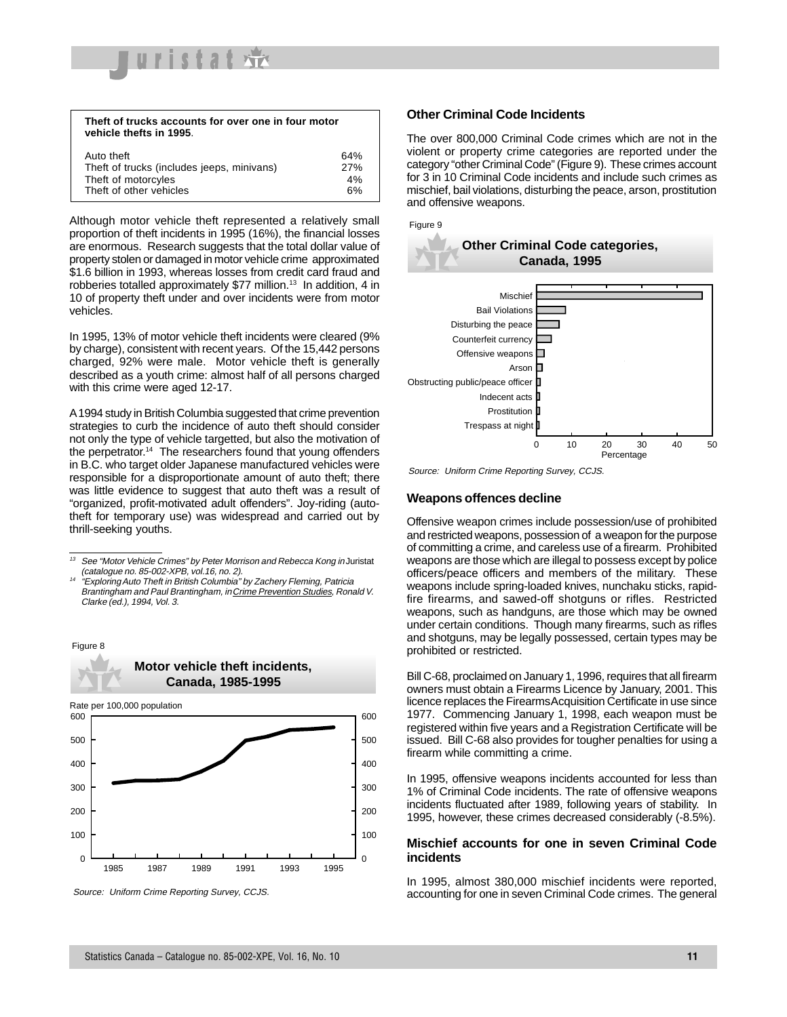

| Theft of trucks accounts for over one in four motor<br>vehicle thefts in 1995. |     |
|--------------------------------------------------------------------------------|-----|
| Auto theft                                                                     | 64% |
| Theft of trucks (includes jeeps, minivans)                                     | 27% |
| Theft of motorcyles                                                            | 4%  |
| Theft of other vehicles                                                        | 6%  |

Although motor vehicle theft represented a relatively small proportion of theft incidents in 1995 (16%), the financial losses are enormous. Research suggests that the total dollar value of property stolen or damaged in motor vehicle crime approximated \$1.6 billion in 1993, whereas losses from credit card fraud and robberies totalled approximately \$77 million.13 In addition, 4 in 10 of property theft under and over incidents were from motor vehicles.

In 1995, 13% of motor vehicle theft incidents were cleared (9% by charge), consistent with recent years. Of the 15,442 persons charged, 92% were male. Motor vehicle theft is generally described as a youth crime: almost half of all persons charged with this crime were aged 12-17.

A 1994 study in British Columbia suggested that crime prevention strategies to curb the incidence of auto theft should consider not only the type of vehicle targetted, but also the motivation of the perpetrator.<sup>14</sup> The researchers found that young offenders in B.C. who target older Japanese manufactured vehicles were responsible for a disproportionate amount of auto theft; there was little evidence to suggest that auto theft was a result of "organized, profit-motivated adult offenders". Joy-riding (autotheft for temporary use) was widespread and carried out by thrill-seeking youths.

<sup>14</sup> "Exploring Auto Theft in British Columbia" by Zachery Fleming, Patricia Brantingham and Paul Brantingham, in Crime Prevention Studies, Ronald V. Clarke (ed.), 1994, Vol. 3.





#### **Other Criminal Code Incidents**

The over 800,000 Criminal Code crimes which are not in the violent or property crime categories are reported under the category "other Criminal Code" (Figure 9). These crimes account for 3 in 10 Criminal Code incidents and include such crimes as mischief, bail violations, disturbing the peace, arson, prostitution and offensive weapons.



Source: Uniform Crime Reporting Survey, CCJS.

#### **Weapons offences decline**

Offensive weapon crimes include possession/use of prohibited and restricted weapons, possession of a weapon for the purpose of committing a crime, and careless use of a firearm. Prohibited weapons are those which are illegal to possess except by police officers/peace officers and members of the military. These weapons include spring-loaded knives, nunchaku sticks, rapidfire firearms, and sawed-off shotguns or rifles. Restricted weapons, such as handguns, are those which may be owned under certain conditions. Though many firearms, such as rifles and shotguns, may be legally possessed, certain types may be prohibited or restricted.

Bill C-68, proclaimed on January 1, 1996, requires that all firearm owners must obtain a Firearms Licence by January, 2001. This licence replaces the Firearms Acquisition Certificate in use since 1977. Commencing January 1, 1998, each weapon must be registered within five years and a Registration Certificate will be issued. Bill C-68 also provides for tougher penalties for using a firearm while committing a crime.

In 1995, offensive weapons incidents accounted for less than 1% of Criminal Code incidents. The rate of offensive weapons incidents fluctuated after 1989, following years of stability. In 1995, however, these crimes decreased considerably (-8.5%).

#### **Mischief accounts for one in seven Criminal Code incidents**

In 1995, almost 380,000 mischief incidents were reported, Source: Uniform Crime Reporting Survey, CCJS. The Survey of Criminal Code crimes. The general Source: Uniform Crime Reporting Survey, CCJS.

 $13$  See "Motor Vehicle Crimes" by Peter Morrison and Rebecca Kong in Juristat (catalogue no. 85-002-XPB, vol.16, no. 2).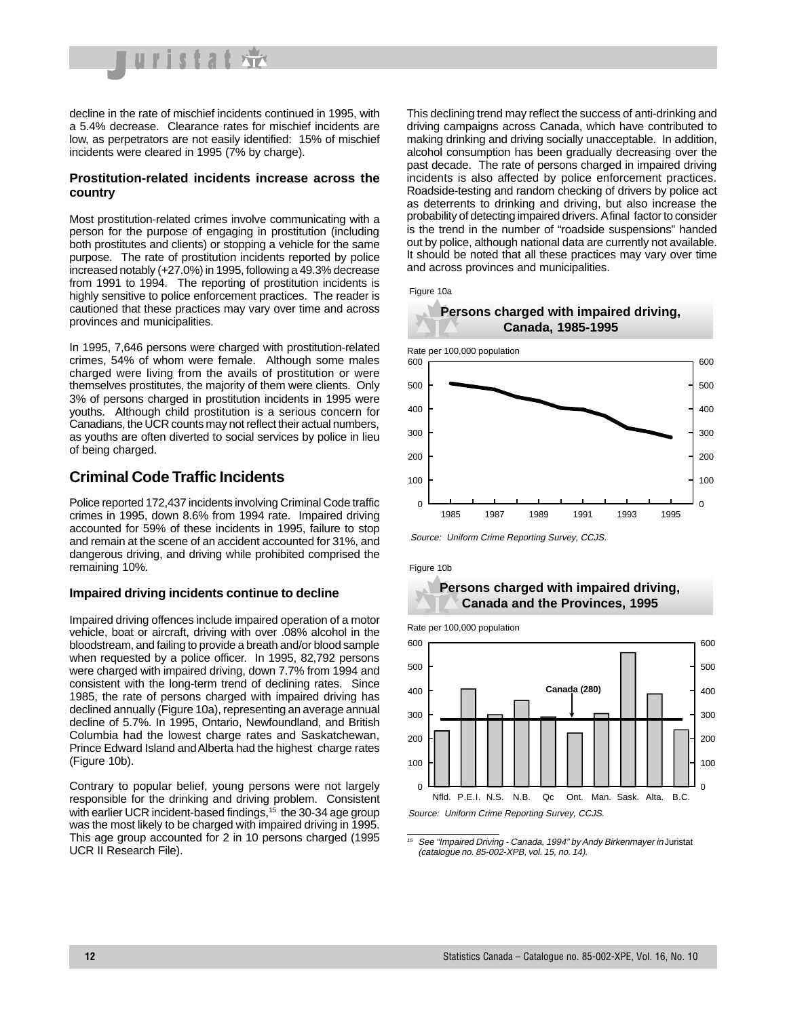

decline in the rate of mischief incidents continued in 1995, with a 5.4% decrease. Clearance rates for mischief incidents are low, as perpetrators are not easily identified: 15% of mischief incidents were cleared in 1995 (7% by charge).

#### **Prostitution-related incidents increase across the country**

Most prostitution-related crimes involve communicating with a person for the purpose of engaging in prostitution (including both prostitutes and clients) or stopping a vehicle for the same purpose. The rate of prostitution incidents reported by police increased notably (+27.0%) in 1995, following a 49.3% decrease from 1991 to 1994. The reporting of prostitution incidents is highly sensitive to police enforcement practices. The reader is cautioned that these practices may vary over time and across provinces and municipalities.

In 1995, 7,646 persons were charged with prostitution-related crimes, 54% of whom were female. Although some males charged were living from the avails of prostitution or were themselves prostitutes, the majority of them were clients. Only 3% of persons charged in prostitution incidents in 1995 were youths. Although child prostitution is a serious concern for Canadians, the UCR counts may not reflect their actual numbers, as youths are often diverted to social services by police in lieu of being charged.

### **Criminal Code Traffic Incidents**

Police reported 172,437 incidents involving Criminal Code traffic crimes in 1995, down 8.6% from 1994 rate. Impaired driving accounted for 59% of these incidents in 1995, failure to stop and remain at the scene of an accident accounted for 31%, and dangerous driving, and driving while prohibited comprised the remaining 10%.

#### **Impaired driving incidents continue to decline**

Impaired driving offences include impaired operation of a motor vehicle, boat or aircraft, driving with over .08% alcohol in the bloodstream, and failing to provide a breath and/or blood sample when requested by a police officer. In 1995, 82,792 persons were charged with impaired driving, down 7.7% from 1994 and consistent with the long-term trend of declining rates. Since 1985, the rate of persons charged with impaired driving has declined annually (Figure 10a), representing an average annual decline of 5.7%. In 1995, Ontario, Newfoundland, and British Columbia had the lowest charge rates and Saskatchewan, Prince Edward Island and Alberta had the highest charge rates (Figure 10b).

Contrary to popular belief, young persons were not largely responsible for the drinking and driving problem. Consistent with earlier UCR incident-based findings,<sup>15</sup> the 30-34 age group was the most likely to be charged with impaired driving in 1995. This age group accounted for 2 in 10 persons charged (1995 UCR II Research File).

This declining trend may reflect the success of anti-drinking and driving campaigns across Canada, which have contributed to making drinking and driving socially unacceptable. In addition, alcohol consumption has been gradually decreasing over the past decade. The rate of persons charged in impaired driving incidents is also affected by police enforcement practices. Roadside-testing and random checking of drivers by police act as deterrents to drinking and driving, but also increase the probability of detecting impaired drivers. A final factor to consider is the trend in the number of "roadside suspensions" handed out by police, although national data are currently not available. It should be noted that all these practices may vary over time and across provinces and municipalities.



Source: Uniform Crime Reporting Survey, CCJS.

Figure 10b



Rate per 100,000 population



<sup>15</sup> See "Impaired Driving - Canada, 1994" by Andy Birkenmayer in Juristat (catalogue no. 85-002-XPB, vol. 15, no. 14).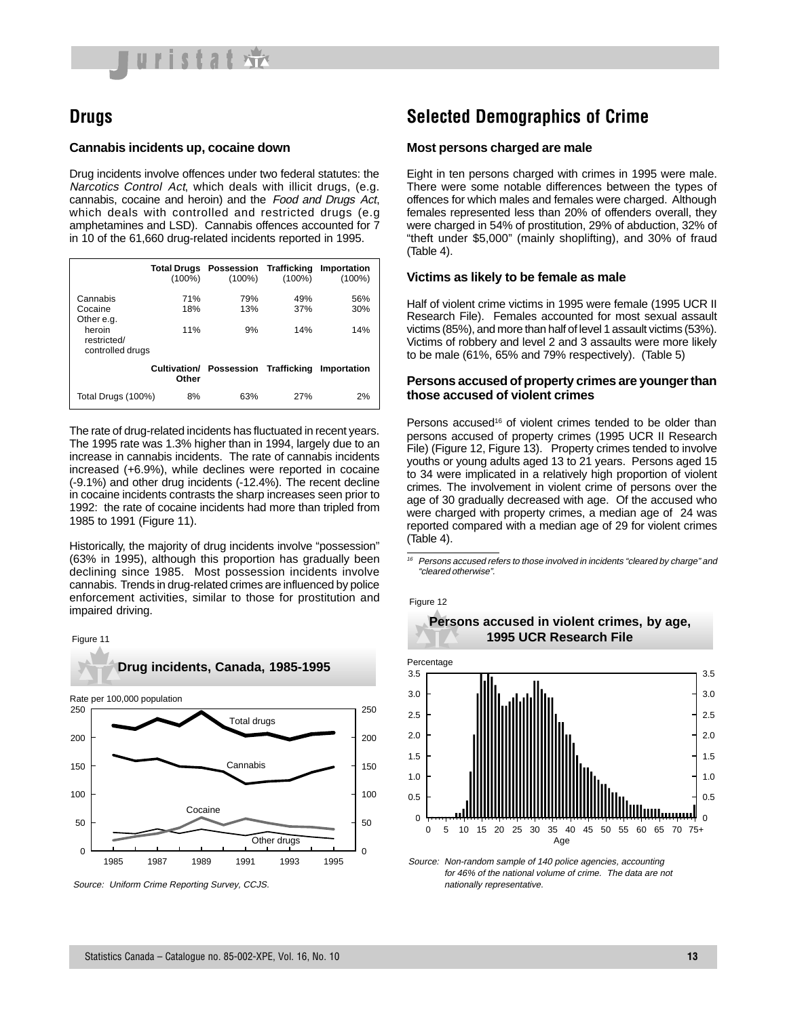

## **Drugs**

#### **Cannabis incidents up, cocaine down**

Drug incidents involve offences under two federal statutes: the Narcotics Control Act, which deals with illicit drugs, (e.g. cannabis, cocaine and heroin) and the Food and Drugs Act, which deals with controlled and restricted drugs (e.g amphetamines and LSD). Cannabis offences accounted for 7 in 10 of the 61,660 drug-related incidents reported in 1995.

|                                                                                | <b>Total Drugs</b><br>$(100\%)$ | Possession Trafficking<br>$(100\%)$ | $(100\%)$         | Importation<br>$(100\%)$ |
|--------------------------------------------------------------------------------|---------------------------------|-------------------------------------|-------------------|--------------------------|
| Cannabis<br>Cocaine<br>Other e.g.<br>heroin<br>restricted/<br>controlled drugs | 71%<br>18%<br>11%               | 79%<br>13%<br>9%                    | 49%<br>37%<br>14% | 56%<br>30%<br>14%        |
|                                                                                | Cultivation/<br>Other           | Possession Trafficking              |                   | Importation              |
| Total Drugs (100%)                                                             | 8%                              | 63%                                 | 27%               | 2%                       |

The rate of drug-related incidents has fluctuated in recent years. The 1995 rate was 1.3% higher than in 1994, largely due to an increase in cannabis incidents. The rate of cannabis incidents increased (+6.9%), while declines were reported in cocaine (-9.1%) and other drug incidents (-12.4%). The recent decline in cocaine incidents contrasts the sharp increases seen prior to 1992: the rate of cocaine incidents had more than tripled from 1985 to 1991 (Figure 11).

Historically, the majority of drug incidents involve "possession" (63% in 1995), although this proportion has gradually been declining since 1985. Most possession incidents involve cannabis. Trends in drug-related crimes are influenced by police enforcement activities, similar to those for prostitution and impaired driving.





Source: Uniform Crime Reporting Survey, CCJS.

## **Selected Demographics of Crime**

#### **Most persons charged are male**

Eight in ten persons charged with crimes in 1995 were male. There were some notable differences between the types of offences for which males and females were charged. Although females represented less than 20% of offenders overall, they were charged in 54% of prostitution, 29% of abduction, 32% of "theft under \$5,000" (mainly shoplifting), and 30% of fraud (Table 4).

#### **Victims as likely to be female as male**

Half of violent crime victims in 1995 were female (1995 UCR II Research File). Females accounted for most sexual assault victims (85%), and more than half of level 1 assault victims (53%). Victims of robbery and level 2 and 3 assaults were more likely to be male (61%, 65% and 79% respectively). (Table 5)

#### **Persons accused of property crimes are younger than those accused of violent crimes**

Persons accused<sup>16</sup> of violent crimes tended to be older than persons accused of property crimes (1995 UCR II Research File) (Figure 12, Figure 13). Property crimes tended to involve youths or young adults aged 13 to 21 years. Persons aged 15 to 34 were implicated in a relatively high proportion of violent crimes. The involvement in violent crime of persons over the age of 30 gradually decreased with age. Of the accused who were charged with property crimes, a median age of 24 was reported compared with a median age of 29 for violent crimes (Table 4).

 $16$  Persons accused refers to those involved in incidents "cleared by charge" and "cleared otherwise".



Source: Non-random sample of 140 police agencies, accounting for 46% of the national volume of crime. The data are not nationally representative.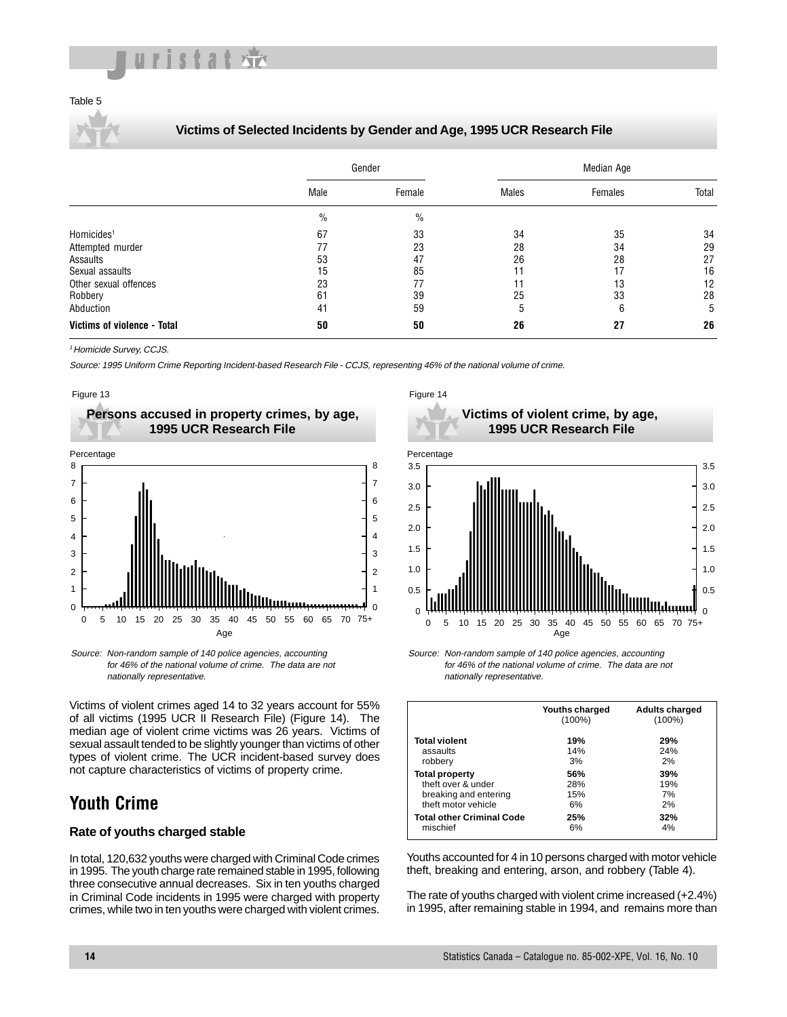

#### Table 5

#### **Victims of Selected Incidents by Gender and Age, 1995 UCR Research File**

|                             |               | Gender        | Median Age |         |       |  |  |  |
|-----------------------------|---------------|---------------|------------|---------|-------|--|--|--|
|                             | Male          | Female        | Males      | Females | Total |  |  |  |
|                             | $\frac{0}{0}$ | $\frac{0}{0}$ |            |         |       |  |  |  |
| Homicides <sup>1</sup>      | 67            | 33            | 34         | 35      | 34    |  |  |  |
| Attempted murder            | 77            | 23            | 28         | 34      | 29    |  |  |  |
| Assaults                    | 53            | 47            | 26         | 28      | 27    |  |  |  |
| Sexual assaults             | 15            | 85            | 11         | 17      | 16    |  |  |  |
| Other sexual offences       | 23            | 77            | 11         | 13      | 12    |  |  |  |
| Robbery                     | 61            | 39            | 25         | 33      | 28    |  |  |  |
| Abduction                   | 41            | 59            | 5          | 6       | 5     |  |  |  |
| Victims of violence - Total | 50            | 50            | 26         | 27      | 26    |  |  |  |

<sup>1</sup> Homicide Survey, CCJS.

Source: 1995 Uniform Crime Reporting Incident-based Research File - CCJS, representing 46% of the national volume of crime.





Source: Non-random sample of 140 police agencies, accounting for 46% of the national volume of crime. The data are not nationally representative.

Victims of violent crimes aged 14 to 32 years account for 55% of all victims (1995 UCR II Research File) (Figure 14). The median age of violent crime victims was 26 years. Victims of sexual assault tended to be slightly younger than victims of other types of violent crime. The UCR incident-based survey does not capture characteristics of victims of property crime.

## **Youth Crime**

#### **Rate of youths charged stable**

In total, 120,632 youths were charged with Criminal Code crimes in 1995. The youth charge rate remained stable in 1995, following three consecutive annual decreases. Six in ten youths charged in Criminal Code incidents in 1995 were charged with property crimes, while two in ten youths were charged with violent crimes.





Source: Non-random sample of 140 police agencies, accounting for 46% of the national volume of crime. The data are not nationally representative.

|                                  | Youths charged<br>$(100\%)$ | <b>Adults charged</b><br>$(100\%)$ |
|----------------------------------|-----------------------------|------------------------------------|
| <b>Total violent</b>             | 19%                         | 29%                                |
| assaults                         | 14%                         | 24%                                |
| robbery                          | 3%                          | 2%                                 |
| <b>Total property</b>            | 56%                         | 39%                                |
| theft over & under               | 28%                         | 19%                                |
| breaking and entering            | 15%                         | 7%                                 |
| theft motor vehicle              | 6%                          | 2%                                 |
| <b>Total other Criminal Code</b> | 25%                         | 32%                                |
| mischief                         | 6%                          | 4%                                 |

Youths accounted for 4 in 10 persons charged with motor vehicle theft, breaking and entering, arson, and robbery (Table 4).

The rate of youths charged with violent crime increased (+2.4%) in 1995, after remaining stable in 1994, and remains more than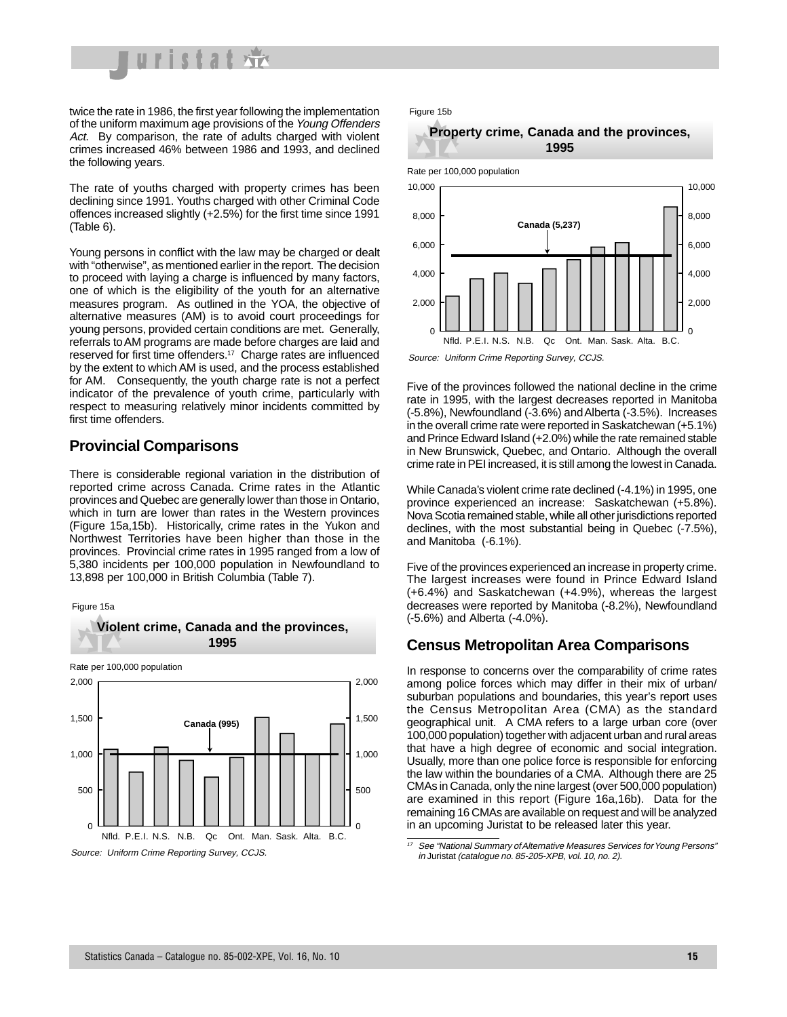

twice the rate in 1986, the first year following the implementation of the uniform maximum age provisions of the Young Offenders Act. By comparison, the rate of adults charged with violent crimes increased 46% between 1986 and 1993, and declined the following years.

The rate of youths charged with property crimes has been declining since 1991. Youths charged with other Criminal Code offences increased slightly (+2.5%) for the first time since 1991 (Table 6).

Young persons in conflict with the law may be charged or dealt with "otherwise", as mentioned earlier in the report. The decision to proceed with laying a charge is influenced by many factors, one of which is the eligibility of the youth for an alternative measures program. As outlined in the YOA, the objective of alternative measures (AM) is to avoid court proceedings for young persons, provided certain conditions are met. Generally, referrals to AM programs are made before charges are laid and reserved for first time offenders.17 Charge rates are influenced by the extent to which AM is used, and the process established for AM. Consequently, the youth charge rate is not a perfect indicator of the prevalence of youth crime, particularly with respect to measuring relatively minor incidents committed by first time offenders.

#### **Provincial Comparisons**

There is considerable regional variation in the distribution of reported crime across Canada. Crime rates in the Atlantic provinces and Quebec are generally lower than those in Ontario, which in turn are lower than rates in the Western provinces (Figure 15a,15b). Historically, crime rates in the Yukon and Northwest Territories have been higher than those in the provinces. Provincial crime rates in 1995 ranged from a low of 5,380 incidents per 100,000 population in Newfoundland to 13,898 per 100,000 in British Columbia (Table 7).

**Violent crime, Canada and the provinces,** 









Rate per 100,000 population



Source: Uniform Crime Reporting Survey, CCJS.

Five of the provinces followed the national decline in the crime rate in 1995, with the largest decreases reported in Manitoba (-5.8%), Newfoundland (-3.6%) and Alberta (-3.5%). Increases in the overall crime rate were reported in Saskatchewan (+5.1%) and Prince Edward Island (+2.0%) while the rate remained stable in New Brunswick, Quebec, and Ontario. Although the overall crime rate in PEI increased, it is still among the lowest in Canada.

While Canada's violent crime rate declined (-4.1%) in 1995, one province experienced an increase: Saskatchewan (+5.8%). Nova Scotia remained stable, while all other jurisdictions reported declines, with the most substantial being in Quebec (-7.5%), and Manitoba (-6.1%).

Five of the provinces experienced an increase in property crime. The largest increases were found in Prince Edward Island (+6.4%) and Saskatchewan (+4.9%), whereas the largest decreases were reported by Manitoba (-8.2%), Newfoundland (-5.6%) and Alberta (-4.0%).

#### **Census Metropolitan Area Comparisons**

In response to concerns over the comparability of crime rates among police forces which may differ in their mix of urban/ suburban populations and boundaries, this year's report uses the Census Metropolitan Area (CMA) as the standard geographical unit. A CMA refers to a large urban core (over 100,000 population) together with adjacent urban and rural areas that have a high degree of economic and social integration. Usually, more than one police force is responsible for enforcing the law within the boundaries of a CMA. Although there are 25 CMAs in Canada, only the nine largest (over 500,000 population) are examined in this report (Figure 16a,16b). Data for the remaining 16 CMAs are available on request and will be analyzed in an upcoming Juristat to be released later this year.

See "National Summary of Alternative Measures Services for Young Persons" in Juristat (catalogue no. 85-205-XPB, vol. 10, no. 2).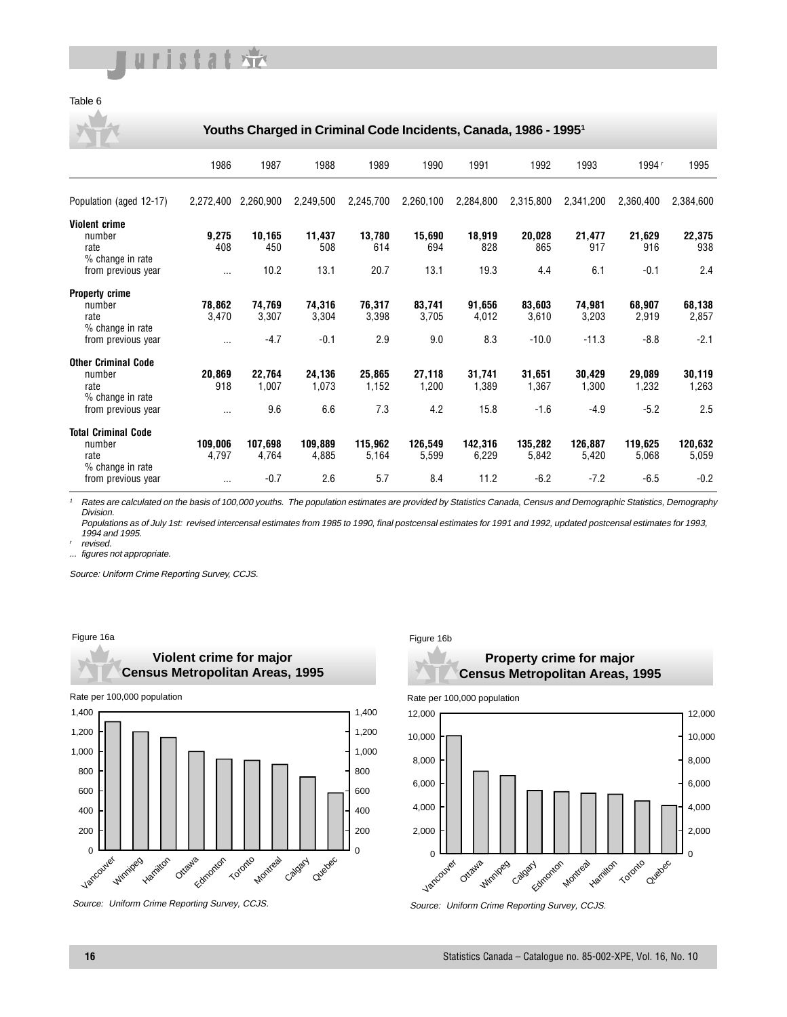

#### Table 6

**Youths Charged in Criminal Code Incidents, Canada, 1986 - 19951**

|                            | 1986      | 1987      | 1988      | 1989      | 1990      | 1991      | 1992      | 1993      | 1994      | 1995      |
|----------------------------|-----------|-----------|-----------|-----------|-----------|-----------|-----------|-----------|-----------|-----------|
| Population (aged 12-17)    | 2,272,400 | 2,260,900 | 2,249,500 | 2,245,700 | 2,260,100 | 2,284,800 | 2,315,800 | 2,341,200 | 2,360,400 | 2,384,600 |
| <b>Violent crime</b>       |           |           |           |           |           |           |           |           |           |           |
| number                     | 9,275     | 10,165    | 11,437    | 13,780    | 15,690    | 18,919    | 20,028    | 21,477    | 21,629    | 22,375    |
| rate<br>% change in rate   | 408       | 450       | 508       | 614       | 694       | 828       | 865       | 917       | 916       | 938       |
| from previous year         | $\cdots$  | 10.2      | 13.1      | 20.7      | 13.1      | 19.3      | 4.4       | 6.1       | $-0.1$    | 2.4       |
| <b>Property crime</b>      |           |           |           |           |           |           |           |           |           |           |
| number                     | 78,862    | 74,769    | 74,316    | 76,317    | 83,741    | 91,656    | 83,603    | 74,981    | 68,907    | 68,138    |
| rate                       | 3,470     | 3,307     | 3,304     | 3,398     | 3,705     | 4,012     | 3,610     | 3,203     | 2,919     | 2,857     |
| % change in rate           |           |           |           |           |           |           |           |           |           |           |
| from previous year         | $\cdots$  | $-4.7$    | $-0.1$    | 2.9       | 9.0       | 8.3       | $-10.0$   | $-11.3$   | $-8.8$    | $-2.1$    |
| <b>Other Criminal Code</b> |           |           |           |           |           |           |           |           |           |           |
| number                     | 20,869    | 22,764    | 24,136    | 25,865    | 27,118    | 31,741    | 31,651    | 30,429    | 29,089    | 30,119    |
| rate                       | 918       | 1,007     | 1,073     | 1,152     | 1,200     | 1,389     | 1,367     | 1,300     | 1,232     | 1,263     |
| % change in rate           |           |           |           |           |           |           |           |           |           |           |
| from previous year         | $\cdots$  | 9.6       | 6.6       | 7.3       | 4.2       | 15.8      | $-1.6$    | $-4.9$    | $-5.2$    | 2.5       |
| <b>Total Criminal Code</b> |           |           |           |           |           |           |           |           |           |           |
| number                     | 109,006   | 107,698   | 109,889   | 115,962   | 126,549   | 142,316   | 135,282   | 126,887   | 119,625   | 120,632   |
| rate                       | 4,797     | 4,764     | 4,885     | 5,164     | 5,599     | 6,229     | 5,842     | 5,420     | 5,068     | 5,059     |
| % change in rate           |           |           |           |           |           |           |           |           |           |           |
| from previous year         | $\cdots$  | $-0.7$    | 2.6       | 5.7       | 8.4       | 11.2      | $-6.2$    | $-7.2$    | $-6.5$    | $-0.2$    |

Rates are calculated on the basis of 100,000 youths. The population estimates are provided by Statistics Canada, Census and Demographic Statistics, Demography Division.

Populations as of July 1st: revised intercensal estimates from 1985 to 1990, final postcensal estimates for 1991 and 1992, updated postcensal estimates for 1993, 1994 and 1995.

revised.

figures not appropriate.

Source: Uniform Crime Reporting Survey, CCJS.

#### Figure 16a



**Violent crime for major** 

Source: Uniform Crime Reporting Survey, CCJS.

#### Figure 16b





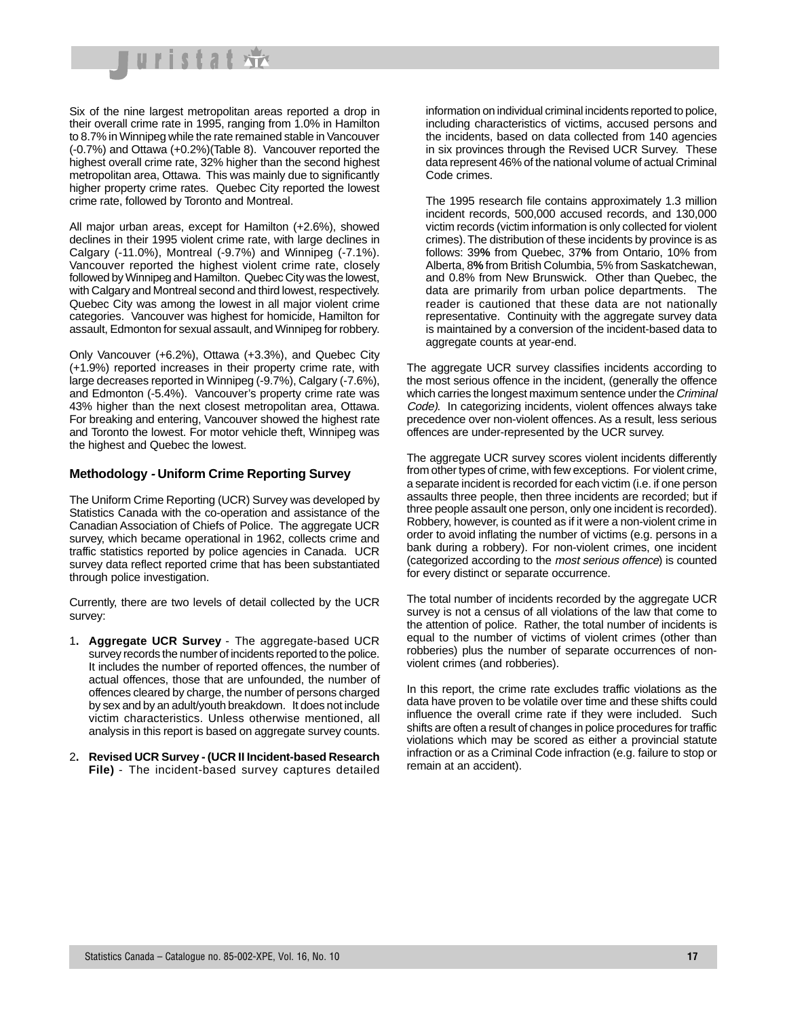

Six of the nine largest metropolitan areas reported a drop in their overall crime rate in 1995, ranging from 1.0% in Hamilton to 8.7% in Winnipeg while the rate remained stable in Vancouver (-0.7%) and Ottawa (+0.2%)(Table 8). Vancouver reported the highest overall crime rate, 32% higher than the second highest metropolitan area, Ottawa. This was mainly due to significantly higher property crime rates. Quebec City reported the lowest crime rate, followed by Toronto and Montreal.

All major urban areas, except for Hamilton (+2.6%), showed declines in their 1995 violent crime rate, with large declines in Calgary (-11.0%), Montreal (-9.7%) and Winnipeg (-7.1%). Vancouver reported the highest violent crime rate, closely followed by Winnipeg and Hamilton. Quebec City was the lowest, with Calgary and Montreal second and third lowest, respectively. Quebec City was among the lowest in all major violent crime categories. Vancouver was highest for homicide, Hamilton for assault, Edmonton for sexual assault, and Winnipeg for robbery.

Only Vancouver (+6.2%), Ottawa (+3.3%), and Quebec City (+1.9%) reported increases in their property crime rate, with large decreases reported in Winnipeg (-9.7%), Calgary (-7.6%), and Edmonton (-5.4%). Vancouver's property crime rate was 43% higher than the next closest metropolitan area, Ottawa. For breaking and entering, Vancouver showed the highest rate and Toronto the lowest. For motor vehicle theft, Winnipeg was the highest and Quebec the lowest.

#### **Methodology - Uniform Crime Reporting Survey**

The Uniform Crime Reporting (UCR) Survey was developed by Statistics Canada with the co-operation and assistance of the Canadian Association of Chiefs of Police. The aggregate UCR survey, which became operational in 1962, collects crime and traffic statistics reported by police agencies in Canada. UCR survey data reflect reported crime that has been substantiated through police investigation.

Currently, there are two levels of detail collected by the UCR survey:

- 1**. Aggregate UCR Survey** The aggregate-based UCR survey records the number of incidents reported to the police. It includes the number of reported offences, the number of actual offences, those that are unfounded, the number of offences cleared by charge, the number of persons charged by sex and by an adult/youth breakdown. It does not include victim characteristics. Unless otherwise mentioned, all analysis in this report is based on aggregate survey counts.
- 2**. Revised UCR Survey (UCR II Incident-based Research File)** - The incident-based survey captures detailed

information on individual criminal incidents reported to police, including characteristics of victims, accused persons and the incidents, based on data collected from 140 agencies in six provinces through the Revised UCR Survey. These data represent 46% of the national volume of actual Criminal Code crimes.

The 1995 research file contains approximately 1.3 million incident records, 500,000 accused records, and 130,000 victim records (victim information is only collected for violent crimes). The distribution of these incidents by province is as follows: 39**%** from Quebec, 37**%** from Ontario, 10% from Alberta, 8**%** from British Columbia, 5% from Saskatchewan, and 0.8% from New Brunswick. Other than Quebec, the data are primarily from urban police departments. The reader is cautioned that these data are not nationally representative. Continuity with the aggregate survey data is maintained by a conversion of the incident-based data to aggregate counts at year-end.

The aggregate UCR survey classifies incidents according to the most serious offence in the incident, (generally the offence which carries the longest maximum sentence under the Criminal Code). In categorizing incidents, violent offences always take precedence over non-violent offences. As a result, less serious offences are under-represented by the UCR survey.

The aggregate UCR survey scores violent incidents differently from other types of crime, with few exceptions. For violent crime, a separate incident is recorded for each victim (i.e. if one person assaults three people, then three incidents are recorded; but if three people assault one person, only one incident is recorded). Robbery, however, is counted as if it were a non-violent crime in order to avoid inflating the number of victims (e.g. persons in a bank during a robbery). For non-violent crimes, one incident (categorized according to the most serious offence) is counted for every distinct or separate occurrence.

The total number of incidents recorded by the aggregate UCR survey is not a census of all violations of the law that come to the attention of police. Rather, the total number of incidents is equal to the number of victims of violent crimes (other than robberies) plus the number of separate occurrences of nonviolent crimes (and robberies).

In this report, the crime rate excludes traffic violations as the data have proven to be volatile over time and these shifts could influence the overall crime rate if they were included. Such shifts are often a result of changes in police procedures for traffic violations which may be scored as either a provincial statute infraction or as a Criminal Code infraction (e.g. failure to stop or remain at an accident).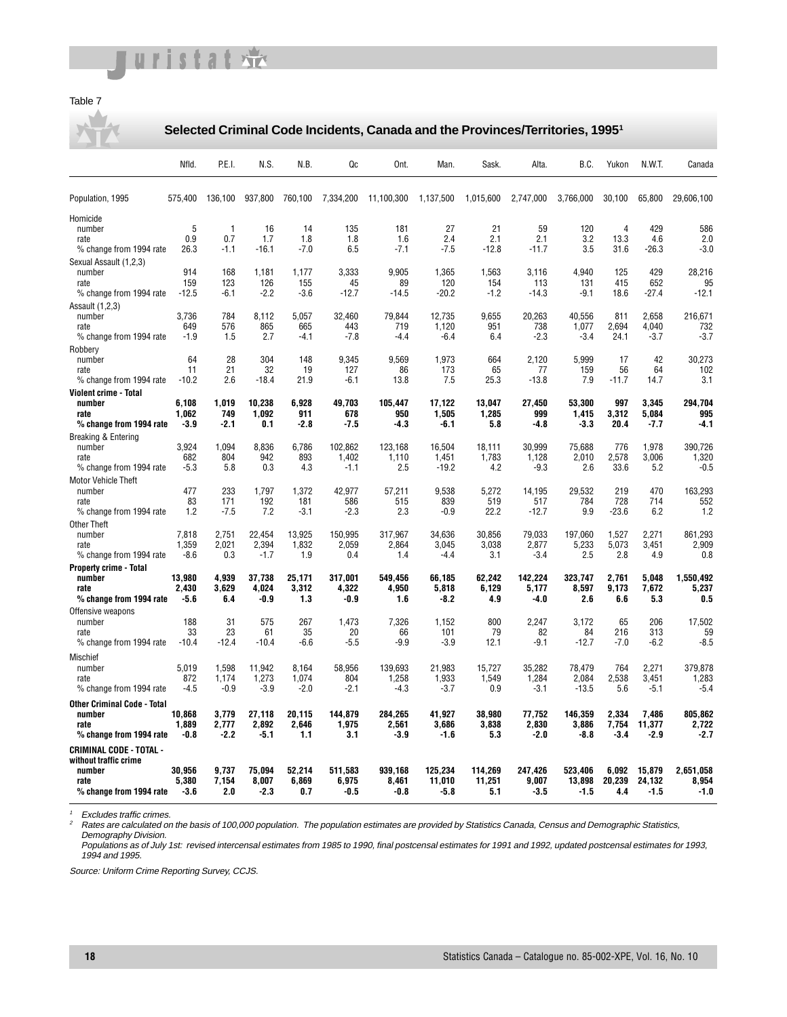## uristat

#### Table 7

#### **Selected Criminal Code Incidents, Canada and the Provinces/Territories, 19951**

|                                              | Nfld.           | P.E.I.         | N.S.            | N.B.            | Qc               | Ont.             | Man.            | Sask.           | Alta.           | B.C.             | Yukon          | N.W.T.         | Canada           |
|----------------------------------------------|-----------------|----------------|-----------------|-----------------|------------------|------------------|-----------------|-----------------|-----------------|------------------|----------------|----------------|------------------|
| Population, 1995                             | 575,400         | 136,100        | 937,800         | 760,100         | 7,334,200        | 11,100,300       | 1,137,500       | 1,015,600       | 2,747,000       | 3,766,000        | 30,100         | 65,800         | 29,606,100       |
| Homicide                                     |                 |                |                 |                 |                  |                  |                 |                 |                 |                  |                |                |                  |
| number                                       | 5               | 1              | 16              | 14              | 135              | 181              | 27              | 21              | 59              | 120              | $\overline{4}$ | 429            | 586              |
| rate<br>% change from 1994 rate              | 0.9<br>26.3     | 0.7<br>-1.1    | 1.7<br>$-16.1$  | 1.8<br>$-7.0$   | 1.8<br>6.5       | 1.6<br>$-7.1$    | 2.4<br>$-7.5$   | 2.1<br>$-12.8$  | 2.1<br>$-11.7$  | 3.2<br>3.5       | 13.3<br>31.6   | 4.6<br>-26.3   | 2.0<br>$-3.0$    |
| Sexual Assault (1,2,3)                       |                 |                |                 |                 |                  |                  |                 |                 |                 |                  |                |                |                  |
| number                                       | 914             | 168            | 1,181           | 1,177           | 3,333            | 9,905            | 1,365           | 1,563           | 3.116           | 4,940            | 125            | 429            | 28,216           |
| rate                                         | 159             | 123            | 126             | 155             | 45               | 89               | 120             | 154             | 113             | 131              | 415            | 652            | 95               |
| % change from 1994 rate                      | $-12.5$         | $-6.1$         | $-2.2$          | $-3.6$          | $-12.7$          | $-14.5$          | $-20.2$         | $-1.2$          | $-14.3$         | $-9.1$           | 18.6           | $-27.4$        | $-12.1$          |
| Assault (1,2,3)<br>number                    | 3,736           | 784            | 8.112           | 5,057           | 32,460           | 79,844           | 12,735          | 9,655           | 20,263          | 40,556           | 811            | 2,658          | 216.671          |
| rate                                         | 649             | 576            | 865             | 665             | 443              | 719              | 1,120           | 951             | 738             | 1,077            | 2,694          | 4,040          | 732              |
| % change from 1994 rate                      | $-1.9$          | 1.5            | 2.7             | -4.1            | $-7.8$           | -4.4             | $-6.4$          | 6.4             | $-2.3$          | $-3.4$           | 24.1           | $-3.7$         | $-3.7$           |
| Robbery                                      |                 |                |                 |                 |                  |                  |                 |                 |                 |                  |                |                |                  |
| number<br>rate                               | 64<br>11        | 28<br>21       | 304<br>32       | 148<br>19       | 9,345<br>127     | 9,569<br>86      | 1,973<br>173    | 664<br>65       | 2,120<br>77     | 5,999<br>159     | 17<br>56       | 42<br>64       | 30,273<br>102    |
| % change from 1994 rate                      | $-10.2$         | 2.6            | $-18.4$         | 21.9            | $-6.1$           | 13.8             | 7.5             | 25.3            | $-13.8$         | 7.9              | $-11.7$        | 14.7           | 3.1              |
| Violent crime - Total                        |                 |                |                 |                 |                  |                  |                 |                 |                 |                  |                |                |                  |
| number                                       | 6,108           | 1.019          | 10,238          | 6,928           | 49,703           | 105,447          | 17,122          | 13,047          | 27.450          | 53,300           | 997            | 3,345          | 294.704          |
| rate<br>% change from 1994 rate              | 1.062<br>$-3.9$ | 749<br>$-2.1$  | 1,092<br>0.1    | 911<br>$-2.8$   | 678<br>-7.5      | 950<br>$-4.3$    | 1,505<br>-6.1   | 1,285<br>5.8    | 999<br>$-4.8$   | 1,415<br>$-3.3$  | 3,312<br>20.4  | 5,084<br>-7.7  | 995<br>$-4.1$    |
| Breaking & Entering                          |                 |                |                 |                 |                  |                  |                 |                 |                 |                  |                |                |                  |
| number                                       | 3.924           | 1,094          | 8,836           | 6,786           | 102,862          | 123.168          | 16.504          | 18.111          | 30.999          | 75,688           | 776            | 1,978          | 390.726          |
| rate                                         | 682             | 804            | 942             | 893             | 1.402            | 1.110            | 1.451           | 1.783           | 1.128           | 2.010            | 2.578          | 3.006          | 1.320            |
| % change from 1994 rate                      | $-5.3$          | 5.8            | 0.3             | 4.3             | $-1.1$           | 2.5              | $-19.2$         | 4.2             | $-9.3$          | 2.6              | 33.6           | 5.2            | $-0.5$           |
| <b>Motor Vehicle Theft</b><br>number         | 477             | 233            | 1,797           | 1,372           | 42,977           | 57,211           | 9,538           | 5,272           | 14.195          | 29,532           | 219            | 470            | 163.293          |
| rate                                         | 83              | 171            | 192             | 181             | 586              | 515              | 839             | 519             | 517             | 784              | 728            | 714            | 552              |
| % change from 1994 rate                      | 1.2             | $-7.5$         | 7.2             | $-3.1$          | $-2.3$           | 2.3              | $-0.9$          | 22.2            | $-12.7$         | 9.9              | $-23.6$        | 6.2            | 1.2              |
| <b>Other Theft</b>                           |                 |                |                 |                 |                  |                  |                 |                 |                 |                  |                |                |                  |
| number                                       | 7,818<br>1.359  | 2.751<br>2.021 | 22.454<br>2.394 | 13.925<br>1,832 | 150.995<br>2.059 | 317.967<br>2.864 | 34,636<br>3,045 | 30.856<br>3,038 | 79.033<br>2,877 | 197.060<br>5,233 | 1,527<br>5,073 | 2,271<br>3,451 | 861,293<br>2,909 |
| rate<br>% change from 1994 rate              | $-8.6$          | 0.3            | $-1.7$          | 1.9             | 0.4              | 1.4              | $-4.4$          | 3.1             | $-3.4$          | 2.5              | 2.8            | 4.9            | 0.8              |
| <b>Property crime - Total</b>                |                 |                |                 |                 |                  |                  |                 |                 |                 |                  |                |                |                  |
| number                                       | 13,980          | 4,939          | 37.738          | 25.171          | 317,001          | 549.456          | 66.185          | 62.242          | 142,224         | 323.747          | 2.761          | 5,048          | 1.550.492        |
| rate                                         | 2.430           | 3.629          | 4.024<br>-0.9   | 3.312<br>1.3    | 4,322            | 4.950            | 5,818           | 6.129           | 5,177           | 8,597            | 9.173          | 7,672          | 5.237<br>0.5     |
| % change from 1994 rate<br>Offensive weapons | -5.6            | 6.4            |                 |                 | -0.9             | 1.6              | -8.2            | 4.9             | -4.0            | 2.6              | 6.6            | 5.3            |                  |
| number                                       | 188             | 31             | 575             | 267             | 1.473            | 7.326            | 1.152           | 800             | 2.247           | 3.172            | 65             | 206            | 17.502           |
| rate                                         | 33              | 23             | 61              | 35              | 20               | 66               | 101             | 79              | 82              | 84               | 216            | 313            | 59               |
| % change from 1994 rate                      | $-10.4$         | $-12.4$        | $-10.4$         | $-6.6$          | $-5.5$           | $-9.9$           | $-3.9$          | 12.1            | $-9.1$          | $-12.7$          | $-7.0$         | $-6.2$         | $-8.5$           |
| Mischief                                     |                 |                |                 |                 |                  |                  |                 |                 |                 |                  |                |                |                  |
| number                                       | 5.019<br>872    | 1.598<br>1,174 | 11,942<br>1,273 | 8.164<br>1,074  | 58,956<br>804    | 139.693<br>1,258 | 21,983<br>1,933 | 15.727          | 35.282<br>1,284 | 78.479<br>2,084  | 764            | 2.271<br>3,451 | 379.878<br>1,283 |
| rate<br>% change from 1994 rate              | $-4.5$          | $-0.9$         | $-3.9$          | $-2.0$          | $-2.1$           | -4.3             | $-3.7$          | 1,549<br>0.9    | $-3.1$          | $-13.5$          | 2,538<br>5.6   | $-5.1$         | $-5.4$           |
| <b>Other Criminal Code - Total</b>           |                 |                |                 |                 |                  |                  |                 |                 |                 |                  |                |                |                  |
| number                                       | 10,868          | 3,779          | 27,118          | 20.115          | 144,879          | 284,265          | 41,927          | 38,980          | 77,752          | 146,359          | 2,334          | 7,486          | 805,862          |
| rate                                         | 1.889           | 2.777          | 2.892           | 2.646           | 1.975            | 2,561            | 3.686           | 3.838           | 2.830           | 3.886            | 7,754          | 11.377         | 2.722            |
| % change from 1994 rate                      | $-0.8$          | $-2.2$         | -5.1            | 1.1             | 3.1              | $-3.9$           | -1.6            | 5.3             | $-2.0$          | -8.8             | $-3.4$         | -2.9           | -2.7             |
| CRIMINAL CODE - TOTAL -                      |                 |                |                 |                 |                  |                  |                 |                 |                 |                  |                |                |                  |
| without traffic crime<br>number              | 30,956          | 9,737          | 75,094          | 52,214          | 511,583          | 939.168          | 125,234         | 114,269         | 247,426         | 523.406          | 6.092          | 15,879         | 2.651.058        |
| rate                                         | 5.380           | 7.154          | 8.007           | 6.869           | 6.975            | 8,461            | 11.010          | 11.251          | 9.007           | 13.898           | 20.239         | 24.132         | 8.954            |
| % change from 1994 rate                      | $-3.6$          | 2.0            | $-2.3$          | 0.7             | -0.5             | $-0.8$           | -5.8            | 5.1             | $-3.5$          | $-1.5$           | 4.4            | -1.5           | $-1.0$           |

 $\frac{1}{2}$  Excludes traffic crimes.<br> **Example 2** Rates are calculated or

<sup>2</sup> Rates are calculated on the basis of 100,000 population. The population estimates are provided by Statistics Canada, Census and Demographic Statistics, Demography Division.

Populations as of July 1st: revised intercensal estimates from 1985 to 1990, final postcensal estimates for 1991 and 1992, updated postcensal estimates for 1993, 1994 and 1995.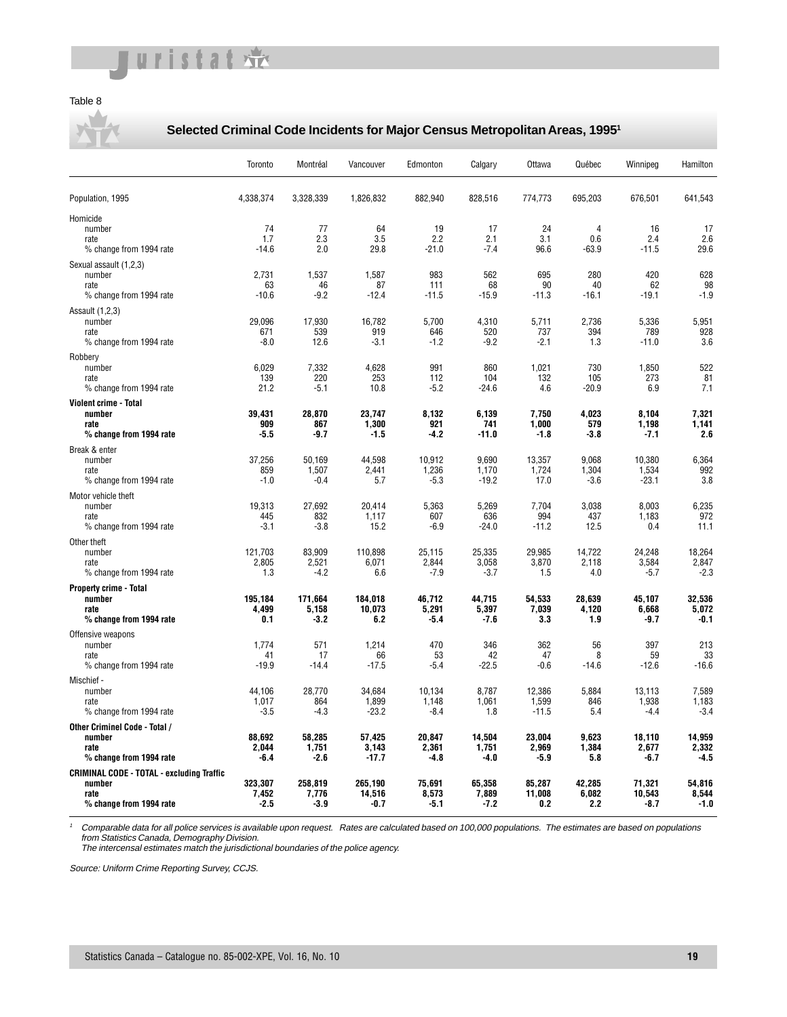#### Table 8

#### **Selected Criminal Code Incidents for Major Census Metropolitan Areas, 19951**

|                                                                                               | Toronto                    | Montréal                   | Vancouver                  | Edmonton                  | Calgary                   | Ottawa                     | Québec                           | Winnipeg                   | Hamilton                  |
|-----------------------------------------------------------------------------------------------|----------------------------|----------------------------|----------------------------|---------------------------|---------------------------|----------------------------|----------------------------------|----------------------------|---------------------------|
| Population, 1995                                                                              | 4,338,374                  | 3,328,339                  | 1,826,832                  | 882,940                   | 828,516                   | 774,773                    | 695,203                          | 676,501                    | 641,543                   |
| Homicide<br>number<br>rate<br>% change from 1994 rate                                         | 74<br>1.7<br>$-14.6$       | 77<br>2.3<br>2.0           | 64<br>3.5<br>29.8          | 19<br>2.2<br>$-21.0$      | 17<br>2.1<br>$-7.4$       | 24<br>3.1<br>96.6          | $\overline{4}$<br>0.6<br>$-63.9$ | 16<br>2.4<br>$-11.5$       | 17<br>2.6<br>29.6         |
| Sexual assault (1,2,3)<br>number<br>rate<br>% change from 1994 rate                           | 2,731<br>63<br>$-10.6$     | 1,537<br>46<br>$-9.2$      | 1,587<br>87<br>$-12.4$     | 983<br>111<br>$-11.5$     | 562<br>68<br>$-15.9$      | 695<br>90<br>$-11.3$       | 280<br>40<br>-16.1               | 420<br>62<br>-19.1         | 628<br>98<br>$-1.9$       |
| Assault (1,2,3)<br>number<br>rate<br>% change from 1994 rate                                  | 29,096<br>671<br>$-8.0$    | 17,930<br>539<br>12.6      | 16,782<br>919<br>$-3.1$    | 5,700<br>646<br>$-1.2$    | 4,310<br>520<br>$-9.2$    | 5,711<br>737<br>$-2.1$     | 2,736<br>394<br>1.3              | 5,336<br>789<br>$-11.0$    | 5,951<br>928<br>3.6       |
| Robbery<br>number<br>rate<br>% change from 1994 rate                                          | 6,029<br>139<br>21.2       | 7,332<br>220<br>$-5.1$     | 4,628<br>253<br>10.8       | 991<br>112<br>$-5.2$      | 860<br>104<br>$-24.6$     | 1,021<br>132<br>4.6        | 730<br>105<br>$-20.9$            | 1,850<br>273<br>6.9        | 522<br>81<br>7.1          |
| <b>Violent crime - Total</b><br>number<br>rate<br>% change from 1994 rate                     | 39,431<br>909<br>-5.5      | 28,870<br>867<br>-9.7      | 23,747<br>1,300<br>-1.5    | 8,132<br>921<br>-4.2      | 6,139<br>741<br>$-11.0$   | 7,750<br>1,000<br>$-1.8$   | 4,023<br>579<br>$-3.8$           | 8.104<br>1,198<br>$-7.1$   | 7.321<br>1,141<br>2.6     |
| Break & enter<br>number<br>rate<br>% change from 1994 rate                                    | 37,256<br>859<br>$-1.0$    | 50,169<br>1,507<br>$-0.4$  | 44,598<br>2,441<br>5.7     | 10,912<br>1,236<br>$-5.3$ | 9,690<br>1,170<br>$-19.2$ | 13,357<br>1,724<br>17.0    | 9,068<br>1,304<br>$-3.6$         | 10,380<br>1,534<br>$-23.1$ | 6,364<br>992<br>3.8       |
| Motor vehicle theft<br>number<br>rate<br>% change from 1994 rate                              | 19,313<br>445<br>$-3.1$    | 27,692<br>832<br>$-3.8$    | 20.414<br>1,117<br>15.2    | 5,363<br>607<br>$-6.9$    | 5,269<br>636<br>$-24.0$   | 7,704<br>994<br>$-11.2$    | 3,038<br>437<br>12.5             | 8,003<br>1,183<br>0.4      | 6,235<br>972<br>11.1      |
| Other theft<br>number<br>rate<br>% change from 1994 rate                                      | 121,703<br>2,805<br>1.3    | 83,909<br>2,521<br>-4.2    | 110,898<br>6,071<br>6.6    | 25,115<br>2,844<br>$-7.9$ | 25,335<br>3,058<br>$-3.7$ | 29,985<br>3,870<br>1.5     | 14,722<br>2,118<br>4.0           | 24,248<br>3,584<br>$-5.7$  | 18,264<br>2,847<br>$-2.3$ |
| <b>Property crime - Total</b><br>number<br>rate<br>% change from 1994 rate                    | 195.184<br>4.499<br>0.1    | 171.664<br>5,158<br>$-3.2$ | 184.018<br>10.073<br>6.2   | 46.712<br>5,291<br>$-5.4$ | 44.715<br>5,397<br>$-7.6$ | 54,533<br>7,039<br>3.3     | 28.639<br>4.120<br>1.9           | 45.107<br>6,668<br>-9.7    | 32.536<br>5.072<br>$-0.1$ |
| Offensive weapons<br>number<br>rate<br>% change from 1994 rate                                | 1,774<br>41<br>$-19.9$     | 571<br>17<br>$-14.4$       | 1,214<br>66<br>$-17.5$     | 470<br>53<br>$-5.4$       | 346<br>42<br>$-22.5$      | 362<br>47<br>$-0.6$        | 56<br>8<br>$-14.6$               | 397<br>59<br>$-12.6$       | 213<br>33<br>$-16.6$      |
| Mischief -<br>number<br>rate<br>% change from 1994 rate                                       | 44,106<br>1,017<br>$-3.5$  | 28,770<br>864<br>$-4.3$    | 34,684<br>1,899<br>$-23.2$ | 10,134<br>1,148<br>$-8.4$ | 8,787<br>1,061<br>1.8     | 12,386<br>1,599<br>$-11.5$ | 5,884<br>846<br>5.4              | 13,113<br>1,938<br>$-4.4$  | 7,589<br>1.183<br>$-3.4$  |
| Other Criminel Code - Total /<br>number<br>rate<br>% change from 1994 rate                    | 88.692<br>2.044<br>-6.4    | 58,285<br>1,751<br>$-2.6$  | 57,425<br>3,143<br>$-17.7$ | 20.847<br>2,361<br>$-4.8$ | 14.504<br>1,751<br>-4.0   | 23.004<br>2,969<br>$-5.9$  | 9.623<br>1.384<br>5.8            | 18,110<br>2,677<br>-6.7    | 14.959<br>2.332<br>$-4.5$ |
| <b>CRIMINAL CODE - TOTAL - excluding Traffic</b><br>number<br>rate<br>% change from 1994 rate | 323,307<br>7,452<br>$-2.5$ | 258,819<br>7.776<br>-3.9   | 265,190<br>14,516<br>-0.7  | 75,691<br>8,573<br>$-5.1$ | 65,358<br>7,889<br>$-7.2$ | 85,287<br>11.008<br>0.2    | 42,285<br>6.082<br>2.2           | 71,321<br>10,543<br>-8.7   | 54,816<br>8.544<br>$-1.0$ |

<sup>1</sup> Comparable data for all police services is available upon request. Rates are calculated based on 100,000 populations. The estimates are based on populations from Statistics Canada, Demography Division. The intercensal estimates match the jurisdictional boundaries of the police agency.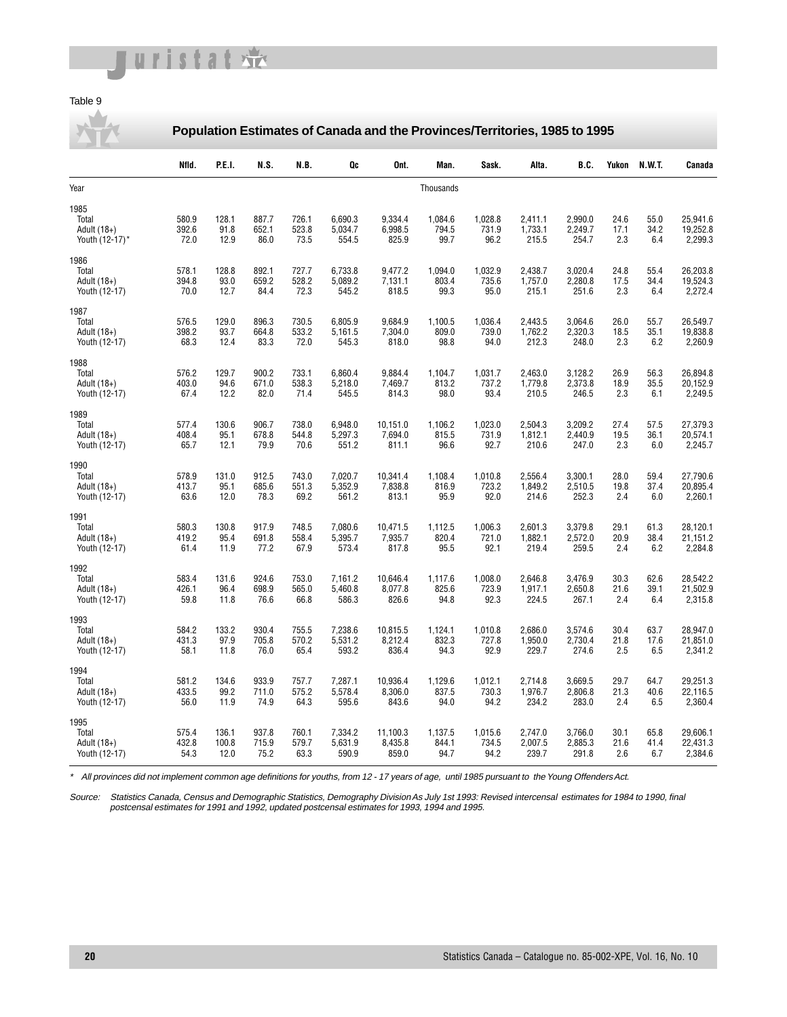## uristat

#### Table 9

**Population Estimates of Canada and the Provinces/Territories, 1985 to 1995**

|                                                | Nfld.                  | P.E.I.                 | N.S.                   | N.B.                   | Qc                          | Ont.                         | Man.                     | Sask.                    | Alta.                       | B.C.                        | Yukon               | N.W.T.              | Canada                          |
|------------------------------------------------|------------------------|------------------------|------------------------|------------------------|-----------------------------|------------------------------|--------------------------|--------------------------|-----------------------------|-----------------------------|---------------------|---------------------|---------------------------------|
| Year                                           |                        |                        |                        |                        |                             |                              | Thousands                |                          |                             |                             |                     |                     |                                 |
| 1985<br>Total<br>Adult (18+)<br>Youth (12-17)* | 580.9<br>392.6<br>72.0 | 128.1<br>91.8<br>12.9  | 887.7<br>652.1<br>86.0 | 726.1<br>523.8<br>73.5 | 6,690.3<br>5,034.7<br>554.5 | 9,334.4<br>6,998.5<br>825.9  | 1,084.6<br>794.5<br>99.7 | 1,028.8<br>731.9<br>96.2 | 2,411.1<br>1,733.1<br>215.5 | 2,990.0<br>2,249.7<br>254.7 | 24.6<br>17.1<br>2.3 | 55.0<br>34.2<br>6.4 | 25,941.6<br>19.252.8<br>2,299.3 |
| 1986<br>Total<br>Adult (18+)<br>Youth (12-17)  | 578.1<br>394.8<br>70.0 | 128.8<br>93.0<br>12.7  | 892.1<br>659.2<br>84.4 | 727.7<br>528.2<br>72.3 | 6,733.8<br>5,089.2<br>545.2 | 9,477.2<br>7,131.1<br>818.5  | 1,094.0<br>803.4<br>99.3 | 1,032.9<br>735.6<br>95.0 | 2,438.7<br>1,757.0<br>215.1 | 3,020.4<br>2,280.8<br>251.6 | 24.8<br>17.5<br>2.3 | 55.4<br>34.4<br>6.4 | 26,203.8<br>19,524.3<br>2,272.4 |
| 1987<br>Total<br>Adult (18+)<br>Youth (12-17)  | 576.5<br>398.2<br>68.3 | 129.0<br>93.7<br>12.4  | 896.3<br>664.8<br>83.3 | 730.5<br>533.2<br>72.0 | 6,805.9<br>5,161.5<br>545.3 | 9,684.9<br>7,304.0<br>818.0  | 1,100.5<br>809.0<br>98.8 | 1,036.4<br>739.0<br>94.0 | 2,443.5<br>1,762.2<br>212.3 | 3,064.6<br>2,320.3<br>248.0 | 26.0<br>18.5<br>2.3 | 55.7<br>35.1<br>6.2 | 26,549.7<br>19,838.8<br>2,260.9 |
| 1988<br>Total<br>Adult (18+)<br>Youth (12-17)  | 576.2<br>403.0<br>67.4 | 129.7<br>94.6<br>12.2  | 900.2<br>671.0<br>82.0 | 733.1<br>538.3<br>71.4 | 6,860.4<br>5,218.0<br>545.5 | 9,884.4<br>7,469.7<br>814.3  | 1,104.7<br>813.2<br>98.0 | 1,031.7<br>737.2<br>93.4 | 2,463.0<br>1,779.8<br>210.5 | 3,128.2<br>2,373.8<br>246.5 | 26.9<br>18.9<br>2.3 | 56.3<br>35.5<br>6.1 | 26,894.8<br>20,152.9<br>2,249.5 |
| 1989<br>Total<br>Adult (18+)<br>Youth (12-17)  | 577.4<br>408.4<br>65.7 | 130.6<br>95.1<br>12.1  | 906.7<br>678.8<br>79.9 | 738.0<br>544.8<br>70.6 | 6,948.0<br>5,297.3<br>551.2 | 10,151.0<br>7,694.0<br>811.1 | 1,106.2<br>815.5<br>96.6 | 1,023.0<br>731.9<br>92.7 | 2,504.3<br>1,812.1<br>210.6 | 3,209.2<br>2,440.9<br>247.0 | 27.4<br>19.5<br>2.3 | 57.5<br>36.1<br>6.0 | 27,379.3<br>20,574.1<br>2,245.7 |
| 1990<br>Total<br>Adult (18+)<br>Youth (12-17)  | 578.9<br>413.7<br>63.6 | 131.0<br>95.1<br>12.0  | 912.5<br>685.6<br>78.3 | 743.0<br>551.3<br>69.2 | 7,020.7<br>5,352.9<br>561.2 | 10,341.4<br>7,838.8<br>813.1 | 1,108.4<br>816.9<br>95.9 | 1,010.8<br>723.2<br>92.0 | 2,556.4<br>1,849.2<br>214.6 | 3,300.1<br>2,510.5<br>252.3 | 28.0<br>19.8<br>2.4 | 59.4<br>37.4<br>6.0 | 27,790.6<br>20,895.4<br>2,260.1 |
| 1991<br>Total<br>Adult (18+)<br>Youth (12-17)  | 580.3<br>419.2<br>61.4 | 130.8<br>95.4<br>11.9  | 917.9<br>691.8<br>77.2 | 748.5<br>558.4<br>67.9 | 7,080.6<br>5,395.7<br>573.4 | 10,471.5<br>7,935.7<br>817.8 | 1,112.5<br>820.4<br>95.5 | 1,006.3<br>721.0<br>92.1 | 2,601.3<br>1,882.1<br>219.4 | 3,379.8<br>2,572.0<br>259.5 | 29.1<br>20.9<br>2.4 | 61.3<br>38.4<br>6.2 | 28,120.1<br>21,151.2<br>2,284.8 |
| 1992<br>Total<br>Adult (18+)<br>Youth (12-17)  | 583.4<br>426.1<br>59.8 | 131.6<br>96.4<br>11.8  | 924.6<br>698.9<br>76.6 | 753.0<br>565.0<br>66.8 | 7,161.2<br>5,460.8<br>586.3 | 10,646.4<br>8,077.8<br>826.6 | 1,117.6<br>825.6<br>94.8 | 1,008.0<br>723.9<br>92.3 | 2,646.8<br>1,917.1<br>224.5 | 3,476.9<br>2,650.8<br>267.1 | 30.3<br>21.6<br>2.4 | 62.6<br>39.1<br>6.4 | 28,542.2<br>21,502.9<br>2,315.8 |
| 1993<br>Total<br>Adult (18+)<br>Youth (12-17)  | 584.2<br>431.3<br>58.1 | 133.2<br>97.9<br>11.8  | 930.4<br>705.8<br>76.0 | 755.5<br>570.2<br>65.4 | 7,238.6<br>5,531.2<br>593.2 | 10,815.5<br>8,212.4<br>836.4 | 1,124.1<br>832.3<br>94.3 | 1,010.8<br>727.8<br>92.9 | 2,686.0<br>1,950.0<br>229.7 | 3,574.6<br>2,730.4<br>274.6 | 30.4<br>21.8<br>2.5 | 63.7<br>17.6<br>6.5 | 28.947.0<br>21,851.0<br>2,341.2 |
| 1994<br>Total<br>Adult (18+)<br>Youth (12-17)  | 581.2<br>433.5<br>56.0 | 134.6<br>99.2<br>11.9  | 933.9<br>711.0<br>74.9 | 757.7<br>575.2<br>64.3 | 7,287.1<br>5,578.4<br>595.6 | 10,936.4<br>8,306.0<br>843.6 | 1,129.6<br>837.5<br>94.0 | 1,012.1<br>730.3<br>94.2 | 2,714.8<br>1,976.7<br>234.2 | 3,669.5<br>2,806.8<br>283.0 | 29.7<br>21.3<br>2.4 | 64.7<br>40.6<br>6.5 | 29,251.3<br>22.116.5<br>2,360.4 |
| 1995<br>Total<br>Adult (18+)<br>Youth (12-17)  | 575.4<br>432.8<br>54.3 | 136.1<br>100.8<br>12.0 | 937.8<br>715.9<br>75.2 | 760.1<br>579.7<br>63.3 | 7,334.2<br>5,631.9<br>590.9 | 11,100.3<br>8,435.8<br>859.0 | 1,137.5<br>844.1<br>94.7 | 1,015.6<br>734.5<br>94.2 | 2,747.0<br>2,007.5<br>239.7 | 3,766.0<br>2,885.3<br>291.8 | 30.1<br>21.6<br>2.6 | 65.8<br>41.4<br>6.7 | 29,606.1<br>22,431.3<br>2,384.6 |

\* All provinces did not implement common age definitions for youths, from 12 - 17 years of age, until 1985 pursuant to the Young Offenders Act.

Source: Statistics Canada, Census and Demographic Statistics, Demography Division As July 1st 1993: Revised intercensal estimates for 1984 to 1990, final postcensal estimates for 1991 and 1992, updated postcensal estimates for 1993, 1994 and 1995.